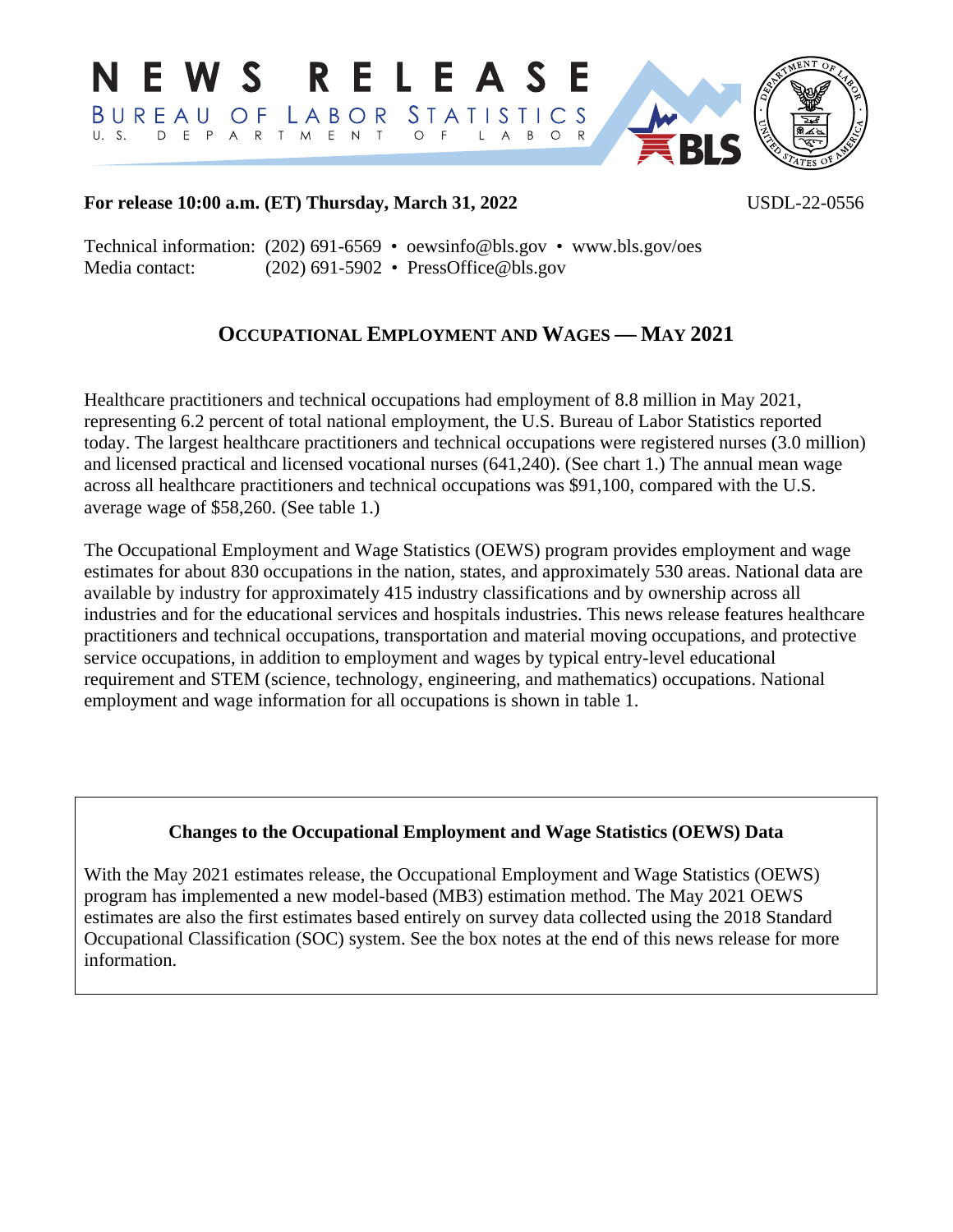

## **For release 10:00 a.m. (ET) Thursday, March 31, 2022** USDL-22-0556

Technical information: (202) 691-6569 • [oewsinfo@bls.gov](mailto:oewsinfo@bls.gov) • www.bls.gov/oes Media contact: (202) 691-5902 • [PressOffice@bls.gov](mailto:PressOffice@bls.gov)

# **OCCUPATIONAL EMPLOYMENT AND WAGES — MAY 2021**

Healthcare practitioners and technical occupations had employment of 8.8 million in May 2021, representing 6.2 percent of total national employment, the U.S. Bureau of Labor Statistics reported today. The largest healthcare practitioners and technical occupations were registered nurses (3.0 million) and licensed practical and licensed vocational nurses (641,240). (See chart 1.) The annual mean wage across all healthcare practitioners and technical occupations was \$91,100, compared with the U.S. average wage of \$58,260. (See table 1.)

The Occupational Employment and Wage Statistics (OEWS) program provides employment and wage estimates for about 830 occupations in the nation, states, and approximately 530 areas. National data are available by industry for approximately 415 industry classifications and by ownership across all industries and for the educational services and hospitals industries. This news release features healthcare practitioners and technical occupations, transportation and material moving occupations, and protective service occupations, in addition to employment and wages by typical entry-level educational requirement and STEM (science, technology, engineering, and mathematics) occupations. National employment and wage information for all occupations is shown in table 1.

## **Changes to the Occupational Employment and Wage Statistics (OEWS) Data**

With the May 2021 estimates release, the Occupational Employment and Wage Statistics (OEWS) program has implemented a new model-based (MB3) estimation method. The May 2021 OEWS estimates are also the first estimates based entirely on survey data collected using the 2018 Standard Occupational Classification (SOC) system. See the box notes at the end of this news release for more information.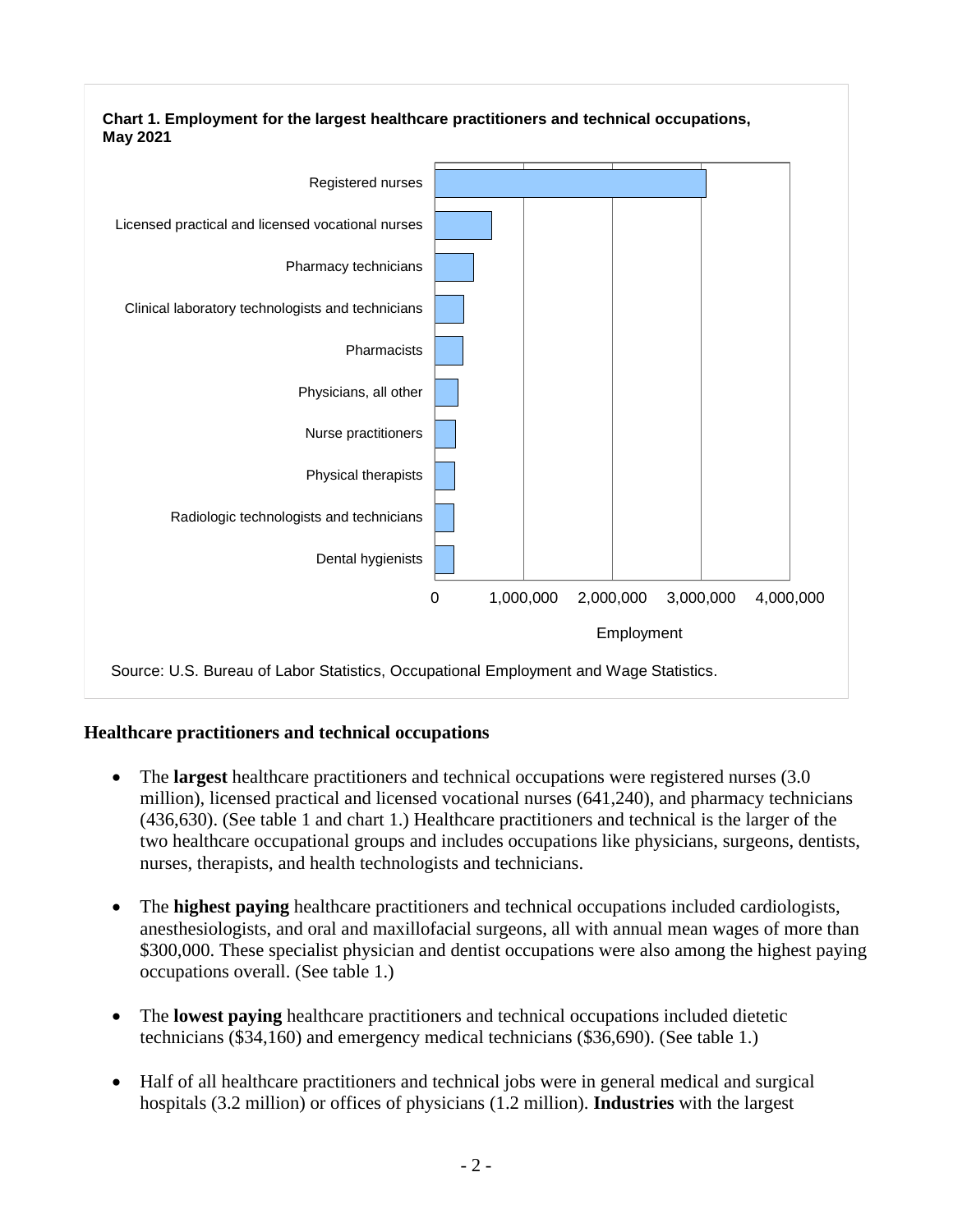

## **Healthcare practitioners and technical occupations**

- The **largest** healthcare practitioners and technical occupations were registered nurses (3.0) million), licensed practical and licensed vocational nurses (641,240), and pharmacy technicians (436,630). (See table 1 and chart 1.) Healthcare practitioners and technical is the larger of the two healthcare occupational groups and includes occupations like physicians, surgeons, dentists, nurses, therapists, and health technologists and technicians.
- The **highest paying** healthcare practitioners and technical occupations included cardiologists, anesthesiologists, and oral and maxillofacial surgeons, all with annual mean wages of more than \$300,000. These specialist physician and dentist occupations were also among the highest paying occupations overall. (See table 1.)
- The **lowest paying** healthcare practitioners and technical occupations included dietetic technicians (\$34,160) and emergency medical technicians (\$36,690). (See table 1.)
- Half of all healthcare practitioners and technical jobs were in general medical and surgical hospitals (3.2 million) or offices of physicians (1.2 million). **Industries** with the largest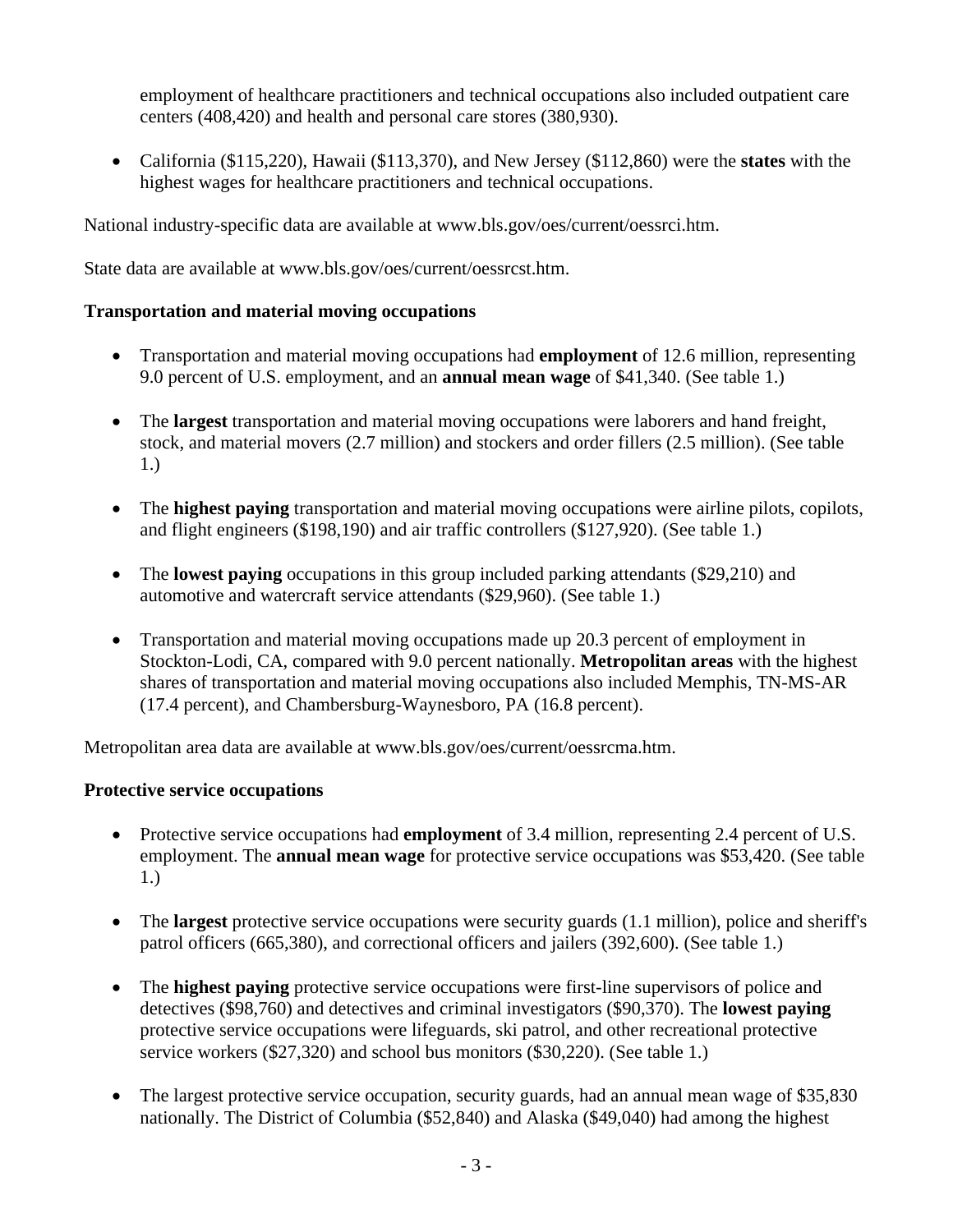employment of healthcare practitioners and technical occupations also included outpatient care centers (408,420) and health and personal care stores (380,930).

• California (\$115,220), Hawaii (\$113,370), and New Jersey (\$112,860) were the **states** with the highest wages for healthcare practitioners and technical occupations.

National industry-specific data are available at [www.bls.gov/oes/current/oessrci.htm.](https://www.bls.gov/oes/current/oessrci.htm)

State data are available at [www.bls.gov/oes/current/oessrcst.htm.](https://www.bls.gov/oes/current/oessrcst.htm)

## **Transportation and material moving occupations**

- Transportation and material moving occupations had **employment** of 12.6 million, representing 9.0 percent of U.S. employment, and an **annual mean wage** of \$41,340. (See table 1.)
- The **largest** transportation and material moving occupations were laborers and hand freight, stock, and material movers (2.7 million) and stockers and order fillers (2.5 million). (See table 1.)
- The **highest paying** transportation and material moving occupations were airline pilots, copilots, and flight engineers (\$198,190) and air traffic controllers (\$127,920). (See table 1.)
- The **lowest paying** occupations in this group included parking attendants (\$29,210) and automotive and watercraft service attendants (\$29,960). (See table 1.)
- Transportation and material moving occupations made up 20.3 percent of employment in Stockton-Lodi, CA, compared with 9.0 percent nationally. **Metropolitan areas** with the highest shares of transportation and material moving occupations also included Memphis, TN-MS-AR (17.4 percent), and Chambersburg-Waynesboro, PA (16.8 percent).

Metropolitan area data are available at [www.bls.gov/oes/current/oessrcma.htm.](https://www.bls.gov/oes/current/oessrcma.htm)

## **Protective service occupations**

- Protective service occupations had **employment** of 3.4 million, representing 2.4 percent of U.S. employment. The **annual mean wage** for protective service occupations was \$53,420. (See table 1.)
- The **largest** protective service occupations were security guards (1.1 million), police and sheriff's patrol officers (665,380), and correctional officers and jailers (392,600). (See table 1.)
- The **highest paying** protective service occupations were first-line supervisors of police and detectives (\$98,760) and detectives and criminal investigators (\$90,370). The **lowest paying** protective service occupations were lifeguards, ski patrol, and other recreational protective service workers (\$27,320) and school bus monitors (\$30,220). (See table 1.)
- The largest protective service occupation, security guards, had an annual mean wage of \$35,830 nationally. The District of Columbia (\$52,840) and Alaska (\$49,040) had among the highest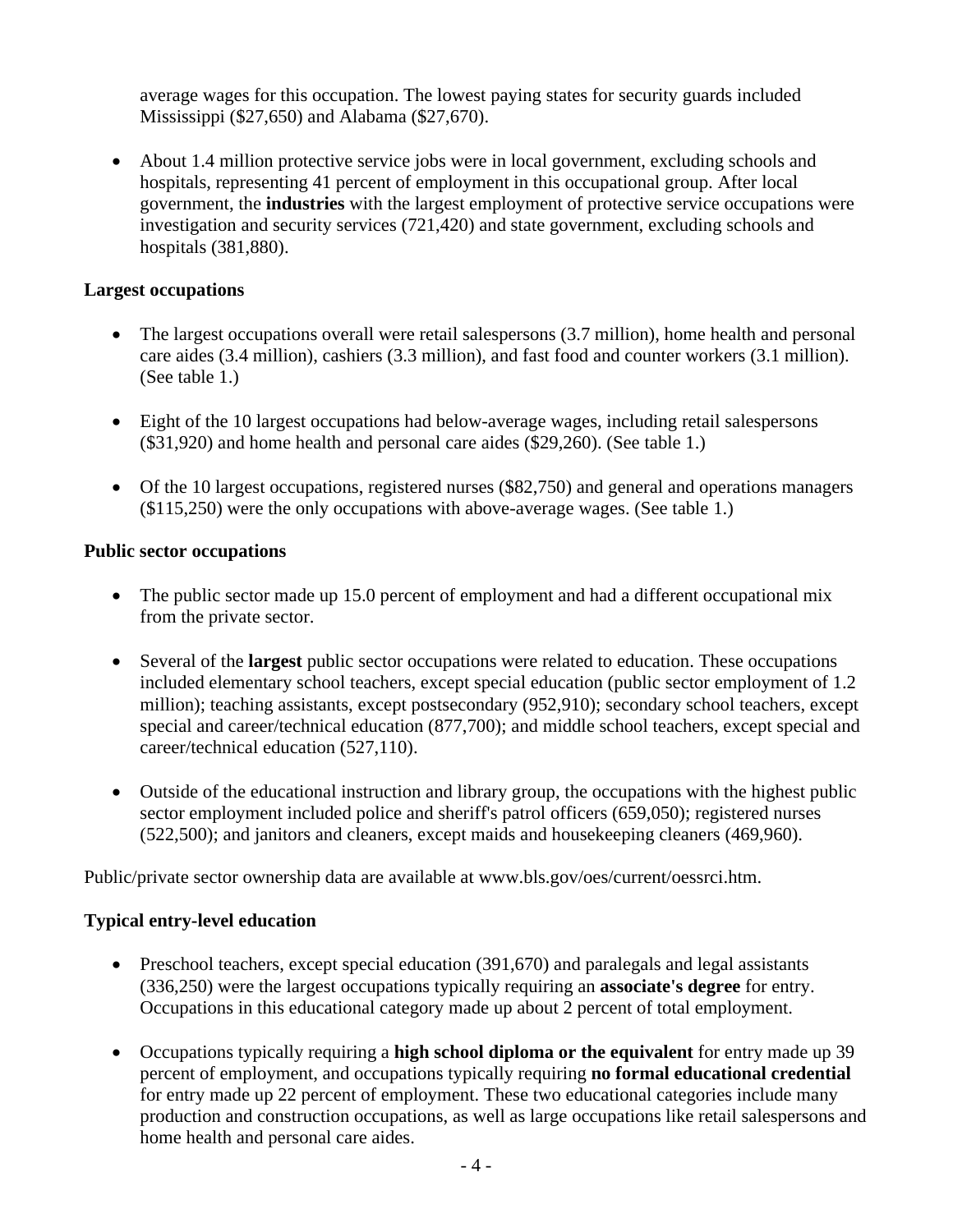average wages for this occupation. The lowest paying states for security guards included Mississippi (\$27,650) and Alabama (\$27,670).

• About 1.4 million protective service jobs were in local government, excluding schools and hospitals, representing 41 percent of employment in this occupational group. After local government, the **industries** with the largest employment of protective service occupations were investigation and security services (721,420) and state government, excluding schools and hospitals (381,880).

## **Largest occupations**

- The largest occupations overall were retail salespersons (3.7 million), home health and personal care aides (3.4 million), cashiers (3.3 million), and fast food and counter workers (3.1 million). (See table 1.)
- Eight of the 10 largest occupations had below-average wages, including retail salespersons (\$31,920) and home health and personal care aides (\$29,260). (See table 1.)
- Of the 10 largest occupations, registered nurses (\$82,750) and general and operations managers (\$115,250) were the only occupations with above-average wages. (See table 1.)

## **Public sector occupations**

- The public sector made up 15.0 percent of employment and had a different occupational mix from the private sector.
- Several of the **largest** public sector occupations were related to education. These occupations included elementary school teachers, except special education (public sector employment of 1.2 million); teaching assistants, except postsecondary (952,910); secondary school teachers, except special and career/technical education (877,700); and middle school teachers, except special and career/technical education (527,110).
- Outside of the educational instruction and library group, the occupations with the highest public sector employment included police and sheriff's patrol officers (659,050); registered nurses (522,500); and janitors and cleaners, except maids and housekeeping cleaners (469,960).

Public/private sector ownership data are available at [www.bls.gov/oes/current/oessrci.htm.](https://www.bls.gov/oes/current/oessrci.htm)

## **Typical entry-level education**

- Preschool teachers, except special education (391,670) and paralegals and legal assistants (336,250) were the largest occupations typically requiring an **associate's degree** for entry. Occupations in this educational category made up about 2 percent of total employment.
- Occupations typically requiring a **high school diploma or the equivalent** for entry made up 39 percent of employment, and occupations typically requiring **no formal educational credential**  for entry made up 22 percent of employment. These two educational categories include many production and construction occupations, as well as large occupations like retail salespersons and home health and personal care aides.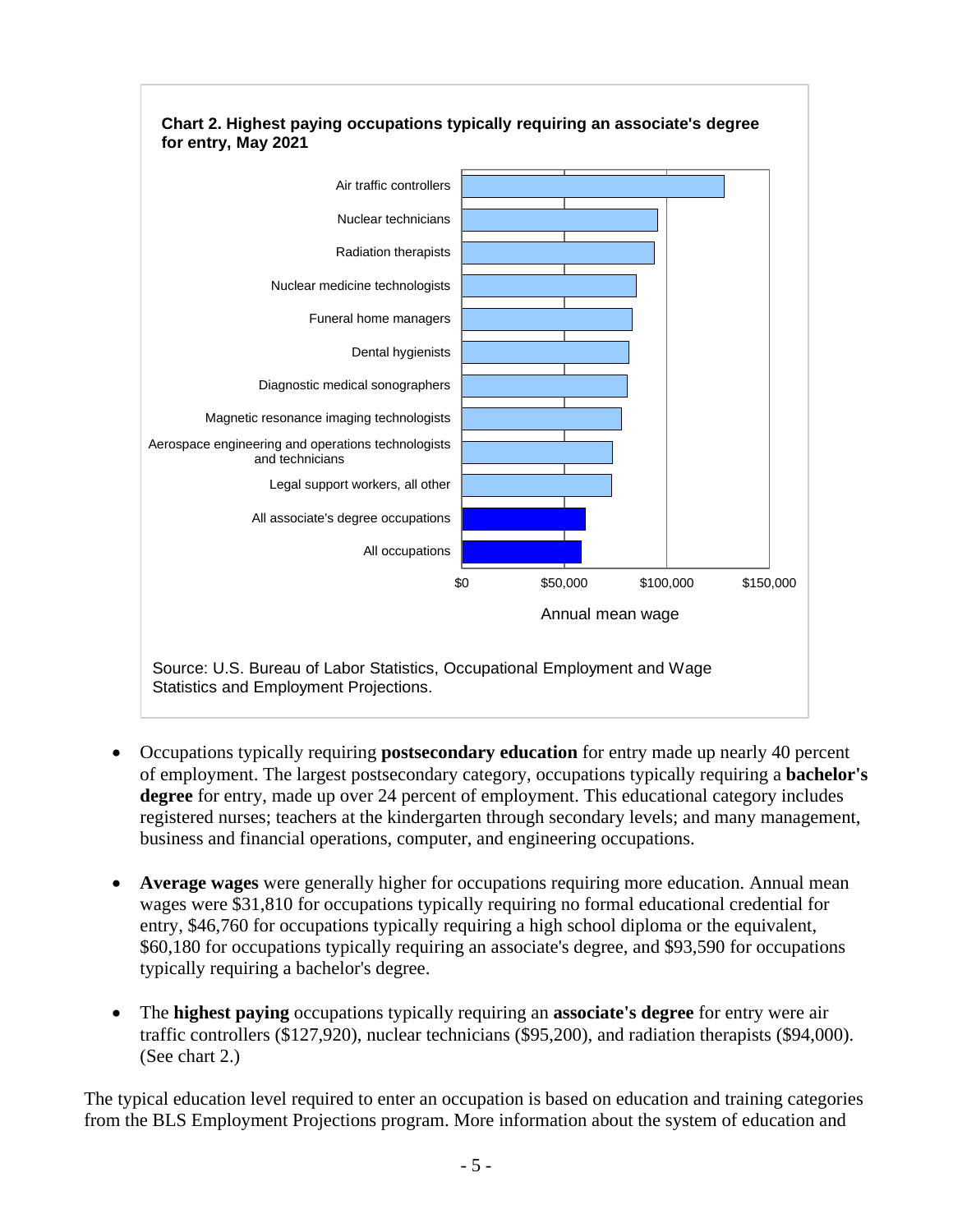

- Occupations typically requiring **postsecondary education** for entry made up nearly 40 percent of employment. The largest postsecondary category, occupations typically requiring a **bachelor's degree** for entry, made up over 24 percent of employment. This educational category includes registered nurses; teachers at the kindergarten through secondary levels; and many management, business and financial operations, computer, and engineering occupations.
- **Average wages** were generally higher for occupations requiring more education. Annual mean wages were \$31,810 for occupations typically requiring no formal educational credential for entry, \$46,760 for occupations typically requiring a high school diploma or the equivalent, \$60,180 for occupations typically requiring an associate's degree, and \$93,590 for occupations typically requiring a bachelor's degree.
- The **highest paying** occupations typically requiring an **associate's degree** for entry were air traffic controllers (\$127,920), nuclear technicians (\$95,200), and radiation therapists (\$94,000). (See chart 2.)

The typical education level required to enter an occupation is based on education and training categories from the BLS Employment Projections program. More information about the system of education and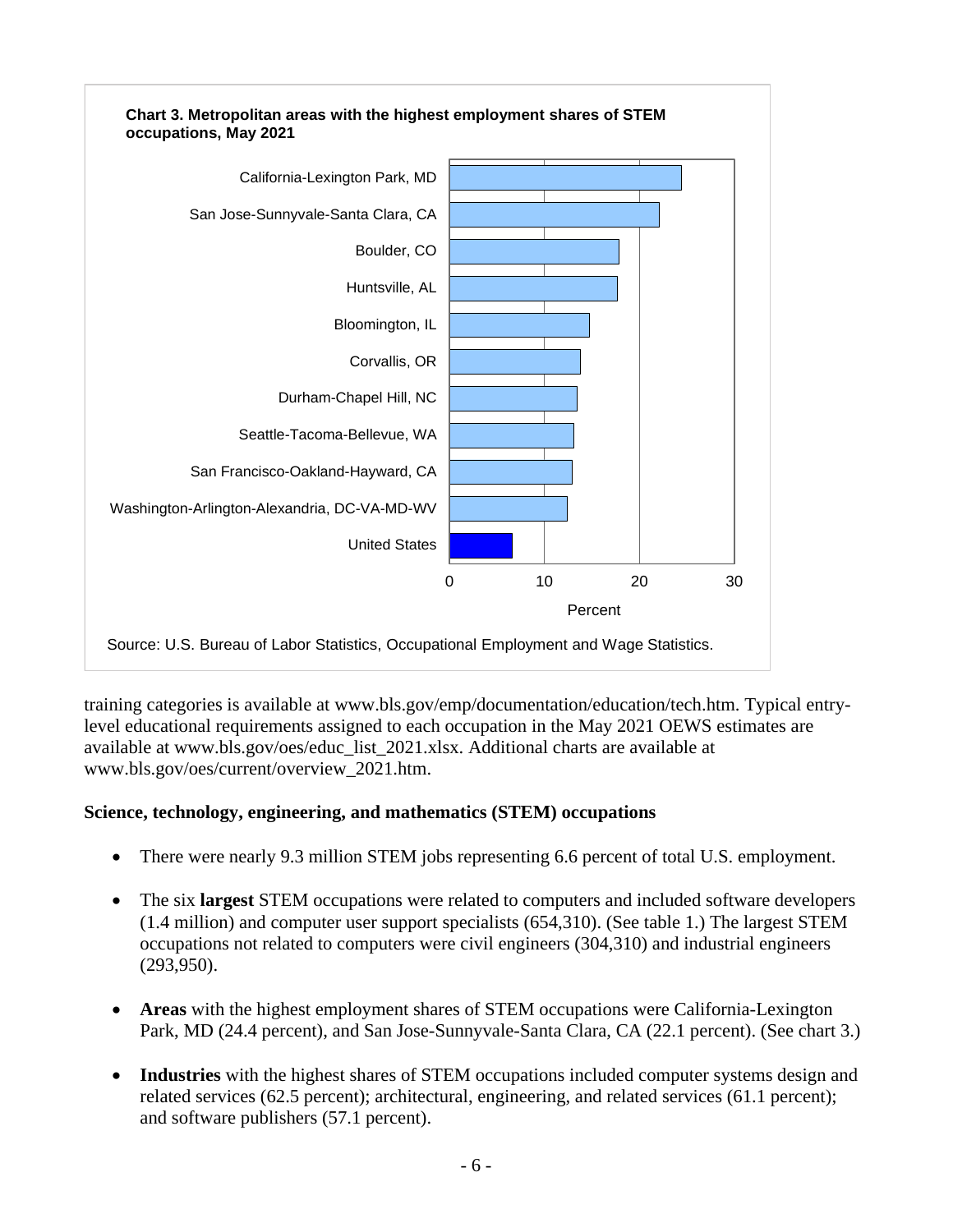

training categories is available at [www.bls.gov/emp/documentation/education/tech.htm.](https://www.bls.gov/emp/documentation/education/tech.htm) Typical entrylevel educational requirements assigned to each occupation in the May 2021 OEWS estimates are available at [www.bls.gov/oes/educ\\_list\\_2021.xlsx.](https://www.bls.gov/oes/educ_list_2021.xlsx) Additional charts are available at [www.bls.gov/oes/current/overview\\_2021.htm.](https://www.bls.gov/oes/current/overview_2021.htm)

## **Science, technology, engineering, and mathematics (STEM) occupations**

- There were nearly 9.3 million STEM jobs representing 6.6 percent of total U.S. employment.
- The six **largest** STEM occupations were related to computers and included software developers (1.4 million) and computer user support specialists (654,310). (See table 1.) The largest STEM occupations not related to computers were civil engineers (304,310) and industrial engineers (293,950).
- **Areas** with the highest employment shares of STEM occupations were California-Lexington Park, MD (24.4 percent), and San Jose-Sunnyvale-Santa Clara, CA (22.1 percent). (See chart 3.)
- **Industries** with the highest shares of STEM occupations included computer systems design and related services (62.5 percent); architectural, engineering, and related services (61.1 percent); and software publishers (57.1 percent).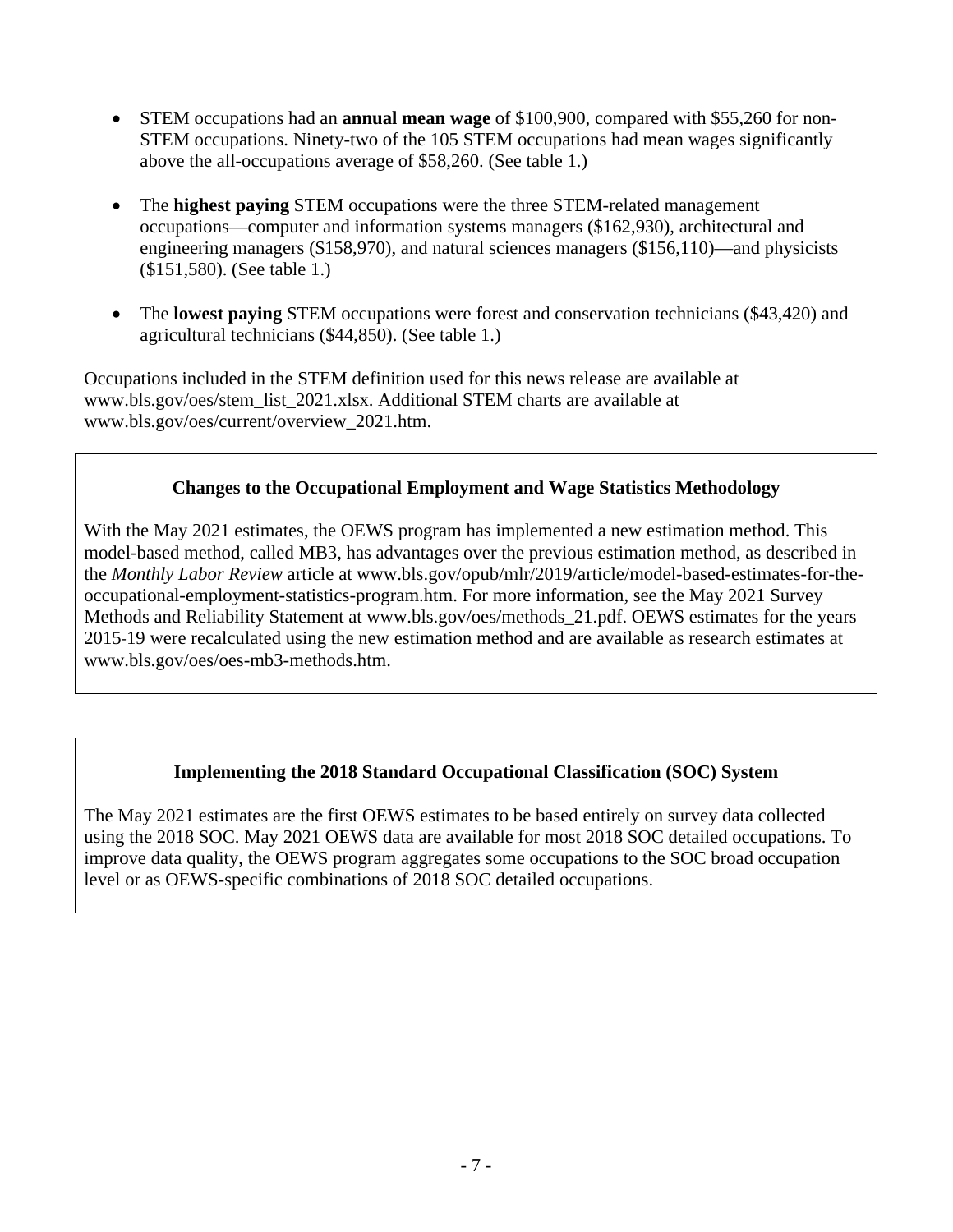- STEM occupations had an **annual mean wage** of \$100,900, compared with \$55,260 for non-STEM occupations. Ninety-two of the 105 STEM occupations had mean wages significantly above the all-occupations average of \$58,260. (See table 1.)
- The **highest paying** STEM occupations were the three STEM-related management occupations—computer and information systems managers (\$162,930), architectural and engineering managers (\$158,970), and natural sciences managers (\$156,110)—and physicists (\$151,580). (See table 1.)
- The **lowest paying** STEM occupations were forest and conservation technicians (\$43,420) and agricultural technicians (\$44,850). (See table 1.)

Occupations included in the STEM definition used for this news release are available at [www.bls.gov/oes/stem\\_list\\_2021.xlsx.](https://www.bls.gov/oes/stem_list_2021.xlsx) Additional STEM charts are available at [www.bls.gov/oes/current/overview\\_2021.htm.](https://www.bls.gov/oes/current/overview_2021.htm)

## **Changes to the Occupational Employment and Wage Statistics Methodology**

With the May 2021 estimates, the OEWS program has implemented a new estimation method. This model-based method, called MB3, has advantages over the previous estimation method, as described in the *Monthly Labor Review* article at [www.bls.gov/opub/mlr/2019/article/model-based-estimates-for-the](https://www.bls.gov/opub/mlr/2019/article/model-based-estimates-for-the-occupational-employment-statistics-program.htm)[occupational-employment-statistics-program.htm.](https://www.bls.gov/opub/mlr/2019/article/model-based-estimates-for-the-occupational-employment-statistics-program.htm) For more information, see the May 2021 Survey Methods and Reliability Statement at [www.bls.gov/oes/methods\\_21.pdf.](https://www.bls.gov/oes/methods_21.pdf) OEWS estimates for the years 2015-19 were recalculated using the new estimation method and are available as research estimates at [www.bls.gov/oes/oes-mb3-methods.htm.](https://www.bls.gov/oes/oes-mb3-methods.htm)

## **Implementing the 2018 Standard Occupational Classification (SOC) System**

The May 2021 estimates are the first OEWS estimates to be based entirely on survey data collected using the 2018 SOC. May 2021 OEWS data are available for most 2018 SOC detailed occupations. To improve data quality, the OEWS program aggregates some occupations to the SOC broad occupation level or as OEWS-specific combinations of 2018 SOC detailed occupations.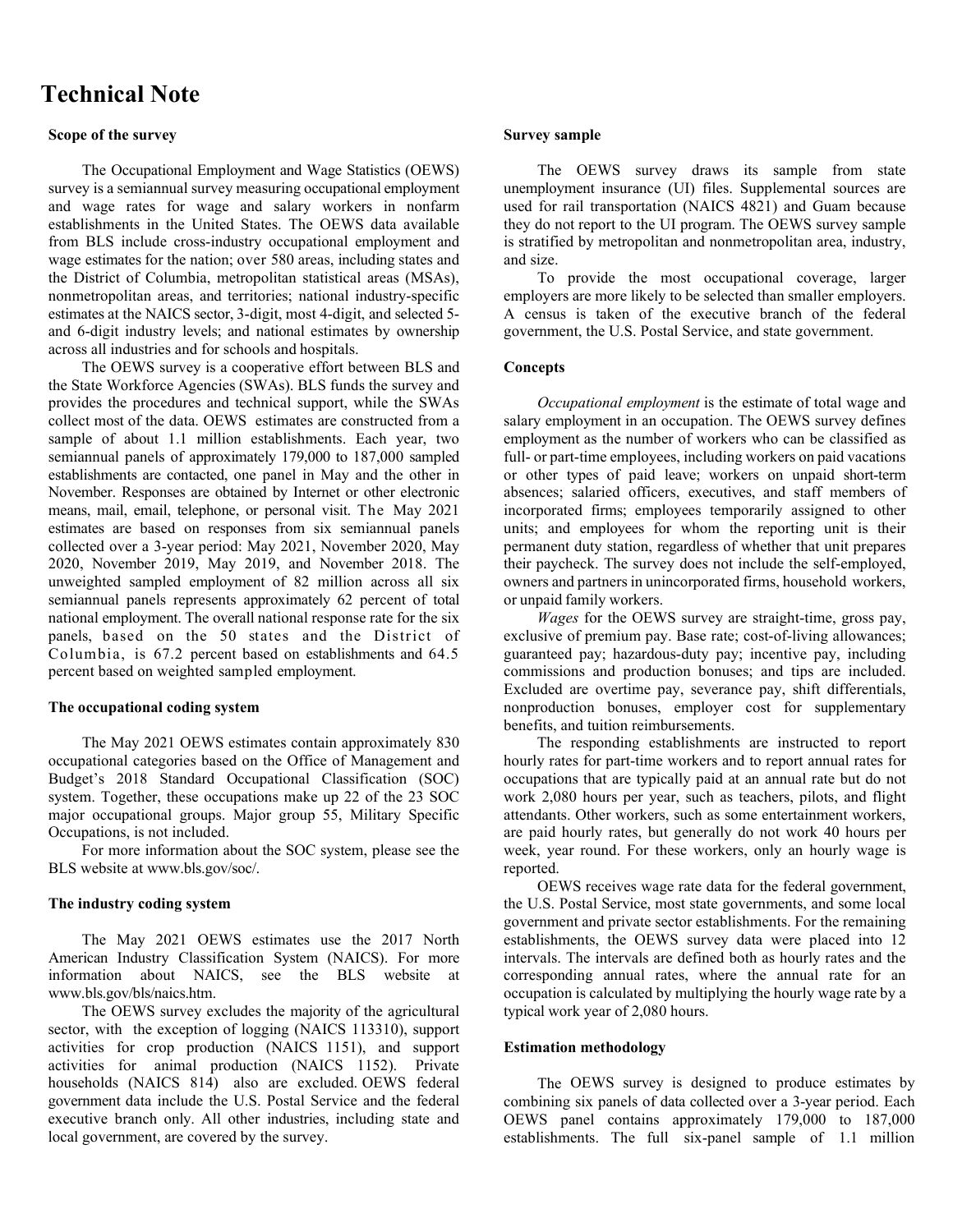# **Technical Note**

### **Scope of the survey**

The Occupational Employment and Wage Statistics (OEWS) survey is a semiannual survey measuring occupational employment and wage rates for wage and salary workers in nonfarm establishments in the United States. The OEWS data available from BLS include cross-industry occupational employment and wage estimates for the nation; over 580 areas, including states and the District of Columbia, metropolitan statistical areas (MSAs), nonmetropolitan areas, and territories; national industry-specific estimates at the NAICS sector, 3-digit, most 4-digit, and selected 5 and 6-digit industry levels; and national estimates by ownership across all industries and for schools and hospitals.

The OEWS survey is a cooperative effort between BLS and the State Workforce Agencies (SWAs). BLS funds the survey and provides the procedures and technical support, while the SWAs collect most of the data. OEWS estimates are constructed from a sample of about 1.1 million establishments. Each year, two semiannual panels of approximately 179,000 to 187,000 sampled establishments are contacted, one panel in May and the other in November. Responses are obtained by Internet or other electronic means, mail, email, telephone, or personal visit. The May 2021 estimates are based on responses from six semiannual panels collected over a 3-year period: May 2021, November 2020, May 2020, November 2019, May 2019, and November 2018. The unweighted sampled employment of 82 million across all six semiannual panels represents approximately 62 percent of total national employment. The overall national response rate for the six panels, based on the 50 states and the District of Columbia, is 67.2 percent based on establishments and 64.5 percent based on weighted sampled employment.

#### **The occupational coding system**

The May 2021 OEWS estimates contain approximately 830 occupational categories based on the Office of Management and Budget's 2018 Standard Occupational Classification (SOC) system. Together, these occupations make up 22 of the 23 SOC major occupational groups. Major group 55, Military Specific Occupations, is not included.

For more information about the SOC system, please see the BLS website at [www.bls.gov/soc/.](https://www.bls.gov/soc/)

#### **The industry coding system**

The May 2021 OEWS estimates use the 2017 North American Industry Classification System (NAICS). For more information about NAICS, see the BLS website at [www.bls.gov/bls/naics.htm.](https://www.bls.gov/bls/naics.htm)

The OEWS survey excludes the majority of the agricultural sector, with the exception of logging (NAICS 113310), support activities for crop production (NAICS 1151), and support activities for animal production (NAICS 1152). Private households (NAICS 814) also are excluded. OEWS federal government data include the U.S. Postal Service and the federal executive branch only. All other industries, including state and local government, are covered by the survey.

#### **Survey sample**

The OEWS survey draws its sample from state unemployment insurance (UI) files. Supplemental sources are used for rail transportation (NAICS 4821) and Guam because they do not report to the UI program. The OEWS survey sample is stratified by metropolitan and nonmetropolitan area, industry, and size.

To provide the most occupational coverage, larger employers are more likely to be selected than smaller employers. A census is taken of the executive branch of the federal government, the U.S. Postal Service, and state government.

### **Concepts**

*Occupational employment* is the estimate of total wage and salary employment in an occupation. The OEWS survey defines employment as the number of workers who can be classified as full- or part-time employees, including workers on paid vacations or other types of paid leave; workers on unpaid short-term absences; salaried officers, executives, and staff members of incorporated firms; employees temporarily assigned to other units; and employees for whom the reporting unit is their permanent duty station, regardless of whether that unit prepares their paycheck. The survey does not include the self-employed, owners and partners in unincorporated firms, household workers, or unpaid family workers.

*Wages* for the OEWS survey are straight-time, gross pay, exclusive of premium pay. Base rate; cost-of-living allowances; guaranteed pay; hazardous-duty pay; incentive pay, including commissions and production bonuses; and tips are included. Excluded are overtime pay, severance pay, shift differentials, nonproduction bonuses, employer cost for supplementary benefits, and tuition reimbursements.

The responding establishments are instructed to report hourly rates for part-time workers and to report annual rates for occupations that are typically paid at an annual rate but do not work 2,080 hours per year, such as teachers, pilots, and flight attendants. Other workers, such as some entertainment workers, are paid hourly rates, but generally do not work 40 hours per week, year round. For these workers, only an hourly wage is reported.

OEWS receives wage rate data for the federal government, the U.S. Postal Service, most state governments, and some local government and private sector establishments. For the remaining establishments, the OEWS survey data were placed into 12 intervals. The intervals are defined both as hourly rates and the corresponding annual rates, where the annual rate for an occupation is calculated by multiplying the hourly wage rate by a typical work year of 2,080 hours.

### **Estimation methodology**

The OEWS survey is designed to produce estimates by combining six panels of data collected over a 3-year period. Each OEWS panel contains approximately 179,000 to 187,000 establishments. The full six-panel sample of 1.1 million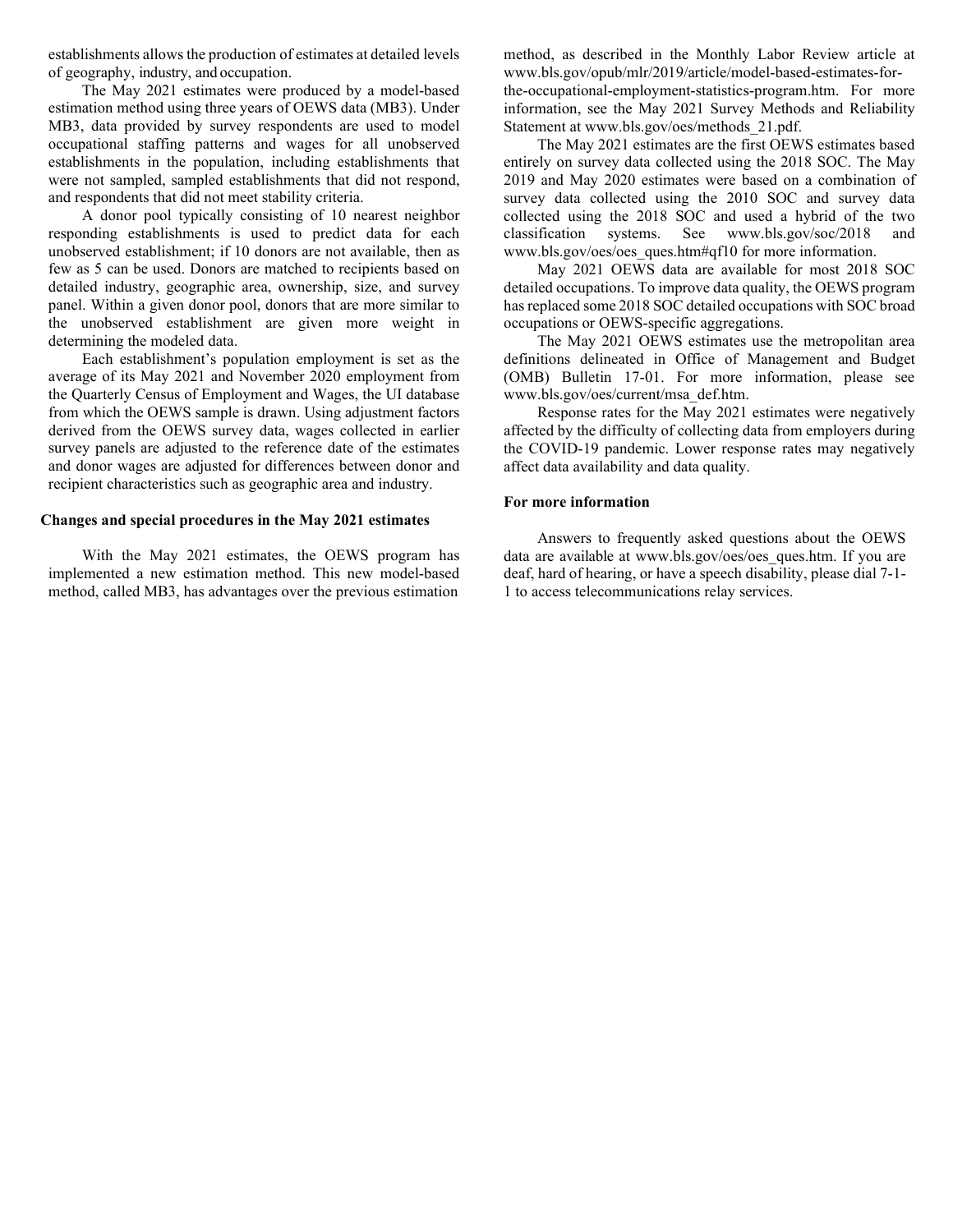establishments allows the production of estimates at detailed levels of geography, industry, and occupation.

The May 2021 estimates were produced by a model-based estimation method using three years of OEWS data (MB3). Under MB3, data provided by survey respondents are used to model occupational staffing patterns and wages for all unobserved establishments in the population, including establishments that were not sampled, sampled establishments that did not respond, and respondents that did not meet stability criteria.

A donor pool typically consisting of 10 nearest neighbor responding establishments is used to predict data for each unobserved establishment; if 10 donors are not available, then as few as 5 can be used. Donors are matched to recipients based on detailed industry, geographic area, ownership, size, and survey panel. Within a given donor pool, donors that are more similar to the unobserved establishment are given more weight in determining the modeled data.

Each establishment's population employment is set as the average of its May 2021 and November 2020 employment from the Quarterly Census of Employment and Wages, the UI database from which the OEWS sample is drawn. Using adjustment factors derived from the OEWS survey data, wages collected in earlier survey panels are adjusted to the reference date of the estimates and donor wages are adjusted for differences between donor and recipient characteristics such as geographic area and industry.

#### **Changes and special procedures in the May 2021 estimates**

With the May 2021 estimates, the OEWS program has implemented a new estimation method. This new model-based method, called MB3, has advantages over the previous estimation

method, as described in the Monthly Labor Review article at [www.bls.gov/opub/mlr/2019/article/model-based-estimates-for](https://www.bls.gov/opub/mlr/2019/article/model-based-estimates-for-the-occupational-employment-statistics-program.htm)[the-occupational-employment-statistics-program.htm.](https://www.bls.gov/opub/mlr/2019/article/model-based-estimates-for-the-occupational-employment-statistics-program.htm) For more information, see the May 2021 Survey Methods and Reliability Statement at [www.bls.gov/oes/methods\\_21.pdf.](https://www.bls.gov/oes/methods_21.pdf)

The May 2021 estimates are the first OEWS estimates based entirely on survey data collected using the 2018 SOC. The May 2019 and May 2020 estimates were based on a combination of survey data collected using the 2010 SOC and survey data collected using the 2018 SOC and used a hybrid of the two classification systems. See [www.bls.gov/soc/2018](https://www.bls.gov/soc/2018) and [www.bls.gov/oes/oes\\_ques.htm#qf10](https://www.bls.gov/oes/oes_ques.htm#qf10) for more information.

May 2021 OEWS data are available for most 2018 SOC detailed occupations. To improve data quality, the OEWS program has replaced some 2018 SOC detailed occupations with SOC broad occupations or OEWS-specific aggregations.

The May 2021 OEWS estimates use the metropolitan area definitions delineated in Office of Management and Budget (OMB) Bulletin 17-01. For more information, please see [www.bls.gov/oes/current/msa\\_def.htm.](https://www.bls.gov/oes/current/msa_def.htm)

Response rates for the May 2021 estimates were negatively affected by the difficulty of collecting data from employers during the COVID-19 pandemic. Lower response rates may negatively affect data availability and data quality.

#### **For more information**

Answers to frequently asked questions about the OEWS data are available at www.bls.gov/oes/oes ques.htm. If you are deaf, hard of hearing, or have a speech disability, please dial 7-1- 1 to access telecommunications relay services.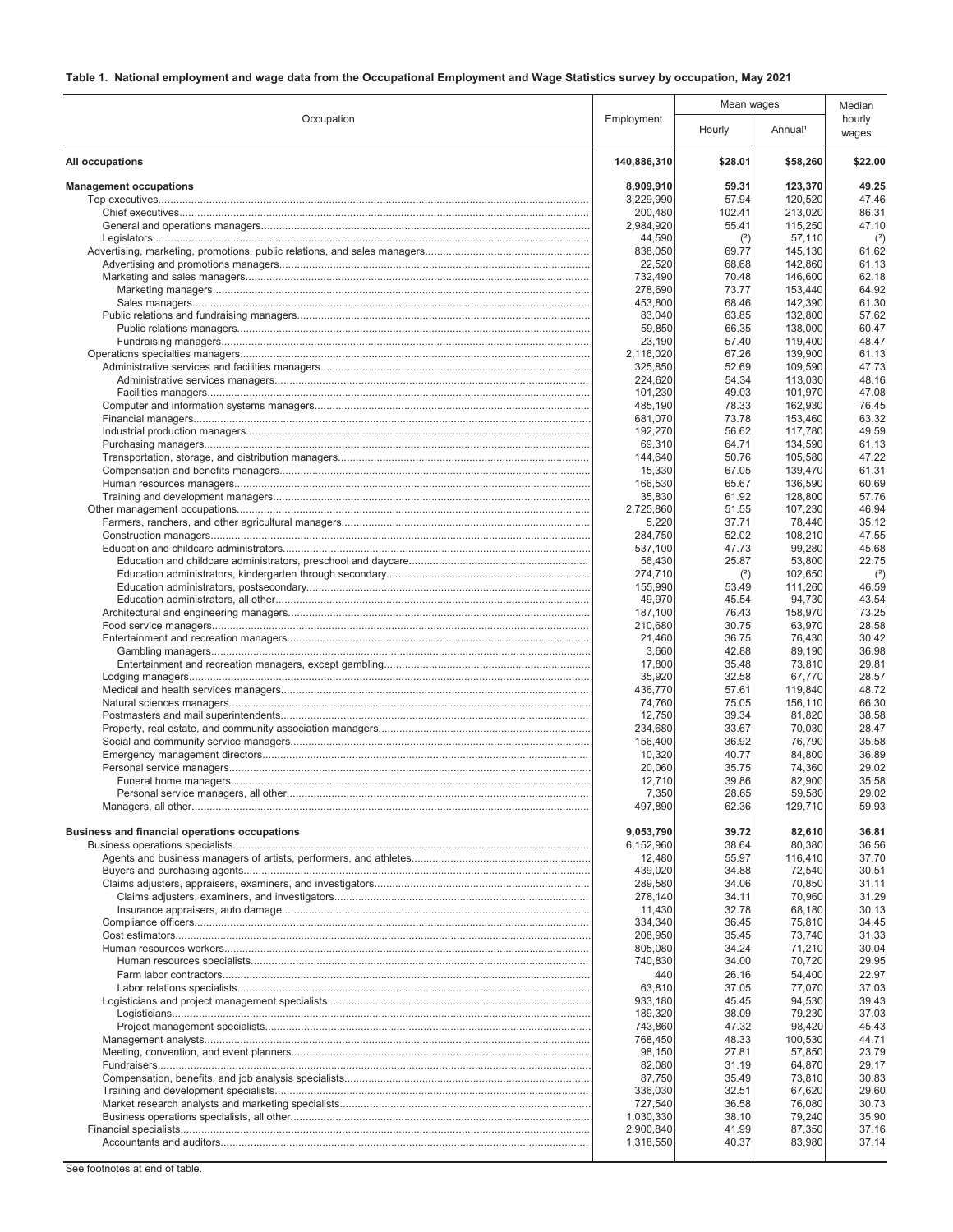|                                               |                      | Mean wages     |                     | Median          |
|-----------------------------------------------|----------------------|----------------|---------------------|-----------------|
| Occupation                                    | Employment           | Hourly         | Annual <sup>1</sup> | hourly<br>wages |
| All occupations                               | 140,886,310          | \$28.01        | \$58,260            | \$22.00         |
| <b>Management occupations</b>                 | 8,909,910            | 59.31          | 123,370             | 49.25           |
|                                               | 3,229,990            | 57.94          | 120,520             | 47.46           |
|                                               | 200,480              | 102.41         | 213,020             | 86.31           |
|                                               | 2,984,920<br>44,590  | 55.41<br>(2)   | 115,250<br>57,110   | 47.10<br>$(2)$  |
|                                               | 838,050              | 69.77          | 145,130             | 61.62           |
|                                               | 22,520               | 68.68          | 142,860             | 61.13           |
|                                               | 732,490              | 70.48          | 146,600             | 62.18           |
|                                               | 278,690              | 73.77          | 153,440             | 64.92           |
|                                               | 453,800              | 68.46          | 142,390             | 61.30           |
|                                               | 83,040               | 63.85          | 132,800             | 57.62           |
|                                               | 59,850               | 66.35          | 138,000             | 60.47           |
|                                               | 23,190               | 57.40          | 119,400             | 48.47           |
|                                               | 2,116,020<br>325,850 | 67.26<br>52.69 | 139,900<br>109,590  | 61.13<br>47.73  |
|                                               | 224,620              | 54.34          | 113,030             | 48.16           |
|                                               | 101,230              | 49.03          | 101,970             | 47.08           |
|                                               | 485,190              | 78.33          | 162,930             | 76.45           |
|                                               | 681,070              | 73.78          | 153,460             | 63.32           |
|                                               | 192,270              | 56.62          | 117.780             | 49.59           |
|                                               | 69,310               | 64.71          | 134,590             | 61.13           |
|                                               | 144,640              | 50.76          | 105,580             | 47.22           |
|                                               | 15,330               | 67.05          | 139,470             | 61.31           |
|                                               | 166,530              | 65.67          | 136,590             | 60.69           |
|                                               | 35,830<br>2.725.860  | 61.92<br>51.55 | 128,800<br>107,230  | 57.76<br>46.94  |
|                                               | 5,220                | 37.71          | 78,440              | 35.12           |
|                                               | 284,750              | 52.02          | 108,210             | 47.55           |
|                                               | 537,100              | 47.73          | 99,280              | 45.68           |
|                                               | 56,430               | 25.87          | 53,800              | 22.75           |
|                                               | 274,710              | (2)            | 102,650             | $2$             |
|                                               | 155,990              | 53.49          | 111,260             | 46.59           |
|                                               | 49,970               | 45.54          | 94,730              | 43.54           |
|                                               | 187,100              | 76.43<br>30.75 | 158,970             | 73.25<br>28.58  |
|                                               | 210,680<br>21,460    | 36.75          | 63,970<br>76,430    | 30.42           |
|                                               | 3,660                | 42.88          | 89,190              | 36.98           |
|                                               | 17,800               | 35.48          | 73,810              | 29.81           |
|                                               | 35,920               | 32.58          | 67,770              | 28.57           |
|                                               | 436,770              | 57.61          | 119,840             | 48.72           |
|                                               | 74,760               | 75.05          | 156,110             | 66.30           |
|                                               | 12,750               | 39.34          | 81,820              | 38.58           |
|                                               | 234,680<br>156,400   | 33.67<br>36.92 | 70,030<br>76,790    | 28.47<br>35.58  |
|                                               | 10,320               | 40.77          | 84,800              | 36.89           |
|                                               | 20,060               | 35.75          | 74,360              | 29.02           |
|                                               | 12,710               | 39.86          | 82.900              | 35.58           |
|                                               | 7,350                | 28.65          | 59,580              | 29.02           |
|                                               | 497,890              | 62.36          | 129,710             | 59.93           |
| Business and financial operations occupations | 9,053,790            | 39.72          | 82,610              | 36.81           |
|                                               | 6,152,960            | 38.64          | 80,380              | 36.56           |
|                                               | 12,480               | 55.97          | 116,410             | 37.70           |
|                                               | 439,020              | 34.88          | 72,540              | 30.51           |
|                                               | 289,580              | 34.06          | 70,850              | 31.11           |
|                                               | 278,140<br>11,430    | 34.11<br>32.78 | 70,960<br>68,180    | 31.29<br>30.13  |
|                                               | 334,340              | 36.45          | 75,810              | 34.45           |
|                                               | 208.950              | 35.45          | 73.740              | 31.33           |
|                                               | 805,080              | 34.24          | 71,210              | 30.04           |
|                                               | 740,830              | 34.00          | 70,720              | 29.95           |
|                                               | 440                  | 26.16          | 54,400              | 22.97           |
|                                               | 63,810               | 37.05          | 77,070              | 37.03           |
|                                               | 933,180              | 45.45          | 94,530              | 39.43           |
|                                               | 189,320<br>743,860   | 38.09<br>47.32 | 79,230<br>98,420    | 37.03<br>45.43  |
|                                               | 768,450              | 48.33          | 100,530             | 44.71           |
|                                               | 98,150               | 27.81          | 57,850              | 23.79           |
|                                               | 82,080               | 31.19          | 64,870              | 29.17           |
|                                               | 87,750               | 35.49          | 73,810              | 30.83           |
|                                               | 336,030              | 32.51          | 67,620              | 29.60           |
|                                               | 727,540              | 36.58          | 76,080              | 30.73           |
|                                               | 1,030,330            | 38.10          | 79,240              | 35.90           |
|                                               | 2,900,840            | 41.99<br>40.37 | 87,350<br>83,980    | 37.16<br>37.14  |
|                                               | 1,318,550            |                |                     |                 |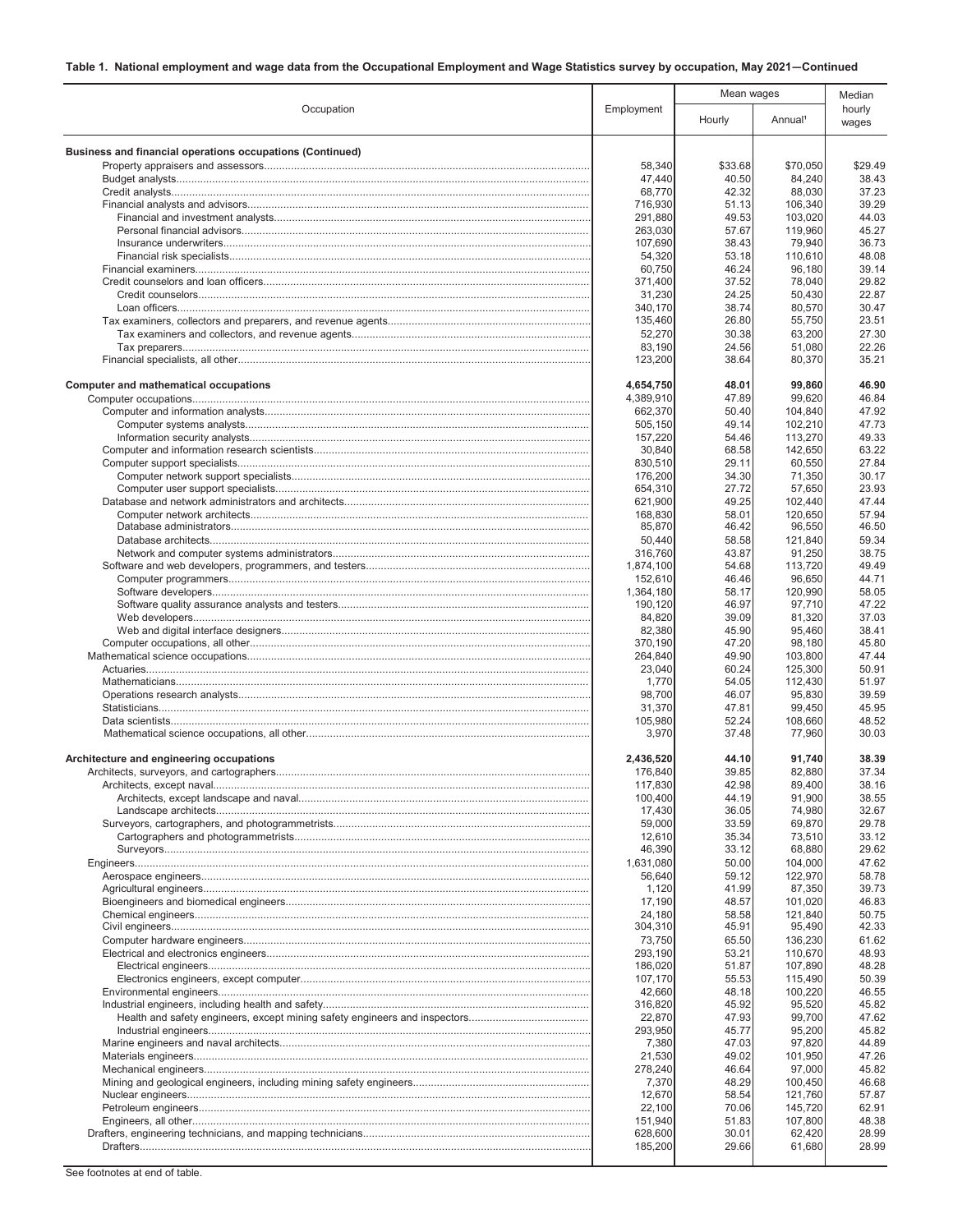|                                                           |                      | Mean wages     |                     | Median          |
|-----------------------------------------------------------|----------------------|----------------|---------------------|-----------------|
| Occupation                                                | Employment           | Hourly         | Annual <sup>1</sup> | hourly<br>wages |
| Business and financial operations occupations (Continued) |                      |                |                     |                 |
|                                                           | 58,340               | \$33.68        | \$70,050            | \$29.49         |
|                                                           | 47,440               | 40.50          | 84,240              | 38.43           |
|                                                           | 68,770               | 42.32          | 88,030              | 37.23           |
|                                                           | 716,930<br>291,880   | 51.13<br>49.53 | 106,340<br>103,020  | 39.29<br>44.03  |
|                                                           | 263,030              | 57.67          | 119,960             | 45.27           |
|                                                           | 107,690              | 38.43          | 79,940              | 36.73           |
|                                                           | 54,320               | 53.18          | 110,610             | 48.08           |
|                                                           | 60,750               | 46.24          | 96,180              | 39.14           |
|                                                           | 371,400              | 37.52          | 78,040              | 29.82           |
|                                                           | 31,230<br>340,170    | 24.25<br>38.74 | 50,430<br>80,570    | 22.87<br>30.47  |
|                                                           | 135,460              | 26.80          | 55,750              | 23.51           |
|                                                           | 52,270               | 30.38          | 63,200              | 27.30           |
|                                                           | 83,190               | 24.56          | 51,080              | 22.26           |
|                                                           | 123,200              | 38.64          | 80,370              | 35.21           |
| <b>Computer and mathematical occupations</b>              | 4,654,750            | 48.01          | 99,860              | 46.90           |
|                                                           | 4,389,910<br>662,370 | 47.89<br>50.40 | 99,620<br>104,840   | 46.84<br>47.92  |
|                                                           | 505,150              | 49.14          | 102,210             | 47.73           |
|                                                           | 157,220              | 54.46          | 113,270             | 49.33           |
|                                                           | 30,840               | 68.58          | 142,650             | 63.22           |
|                                                           | 830,510              | 29.11          | 60,550              | 27.84           |
|                                                           | 176,200              | 34.30          | 71,350              | 30.17           |
|                                                           | 654,310              | 27.72          | 57,650              | 23.93           |
|                                                           | 621,900<br>168.830   | 49.25<br>58.01 | 102,440<br>120.650  | 47.44<br>57.94  |
|                                                           | 85,870               | 46.42          | 96,550              | 46.50           |
|                                                           | 50,440               | 58.58          | 121,840             | 59.34           |
|                                                           | 316,760              | 43.87          | 91,250              | 38.75           |
|                                                           | 1,874,100            | 54.68          | 113,720             | 49.49           |
|                                                           | 152,610<br>1,364,180 | 46.46<br>58.17 | 96,650<br>120,990   | 44.71<br>58.05  |
|                                                           | 190,120              | 46.97          | 97,710              | 47.22           |
|                                                           | 84,820               | 39.09          | 81,320              | 37.03           |
|                                                           | 82,380               | 45.90          | 95,460              | 38.41           |
|                                                           | 370,190              | 47.20          | 98,180              | 45.80           |
|                                                           | 264,840              | 49.90          | 103,800             | 47.44           |
|                                                           | 23,040<br>1,770      | 60.24<br>54.05 | 125,300<br>112,430  | 50.91<br>51.97  |
|                                                           | 98,700               | 46.07          | 95,830              | 39.59           |
|                                                           | 31,370               | 47.81          | 99,450              | 45.95           |
|                                                           | 105,980              | 52.24          | 108,660             | 48.52           |
|                                                           | 3,970                | 37.48          | 77,960              | 30.03           |
| Architecture and engineering occupations                  | 2,436,520            | 44.10          | 91.740              | 38.39           |
|                                                           | 176,840              | 39.85          | 82,880              | 37.34           |
|                                                           | 117,830<br>100,400   | 42.98<br>44.19 | 89,400<br>91,900    | 38.16<br>38.55  |
|                                                           | 17,430               | 36.05          | 74,980              | 32.67           |
|                                                           | 59,000               | 33.59          | 69,870              | 29.78           |
|                                                           | 12,610               | 35.34          | 73,510              | 33.12           |
|                                                           | 46,390               | 33.12          | 68,880              | 29.62           |
|                                                           | 1,631,080<br>56.640  | 50.00          | 104,000<br>122,970  | 47.62           |
|                                                           | 1,120                | 59.12<br>41.99 | 87,350              | 58.78<br>39.73  |
|                                                           | 17,190               | 48.57          | 101,020             | 46.83           |
|                                                           | 24,180               | 58.58          | 121,840             | 50.75           |
|                                                           | 304,310              | 45.91          | 95,490              | 42.33           |
|                                                           | 73,750               | 65.50          | 136,230             | 61.62           |
|                                                           | 293,190<br>186,020   | 53.21<br>51.87 | 110,670<br>107,890  | 48.93<br>48.28  |
|                                                           | 107,170              | 55.53          | 115,490             | 50.39           |
|                                                           | 42,660               | 48.18          | 100,220             | 46.55           |
|                                                           | 316,820              | 45.92          | 95,520              | 45.82           |
|                                                           | 22,870               | 47.93          | 99,700              | 47.62           |
|                                                           | 293,950              | 45.77          | 95,200              | 45.82           |
|                                                           | 7,380<br>21,530      | 47.03<br>49.02 | 97,820<br>101,950   | 44.89<br>47.26  |
|                                                           | 278,240              | 46.64          | 97,000              | 45.82           |
|                                                           | 7,370                | 48.29          | 100,450             | 46.68           |
|                                                           | 12,670               | 58.54          | 121,760             | 57.87           |
|                                                           | 22,100               | 70.06          | 145,720             | 62.91           |
|                                                           | 151,940              | 51.83          | 107,800             | 48.38           |
|                                                           | 628,600<br>185,200   | 30.01<br>29.66 | 62,420<br>61,680    | 28.99<br>28.99  |
|                                                           |                      |                |                     |                 |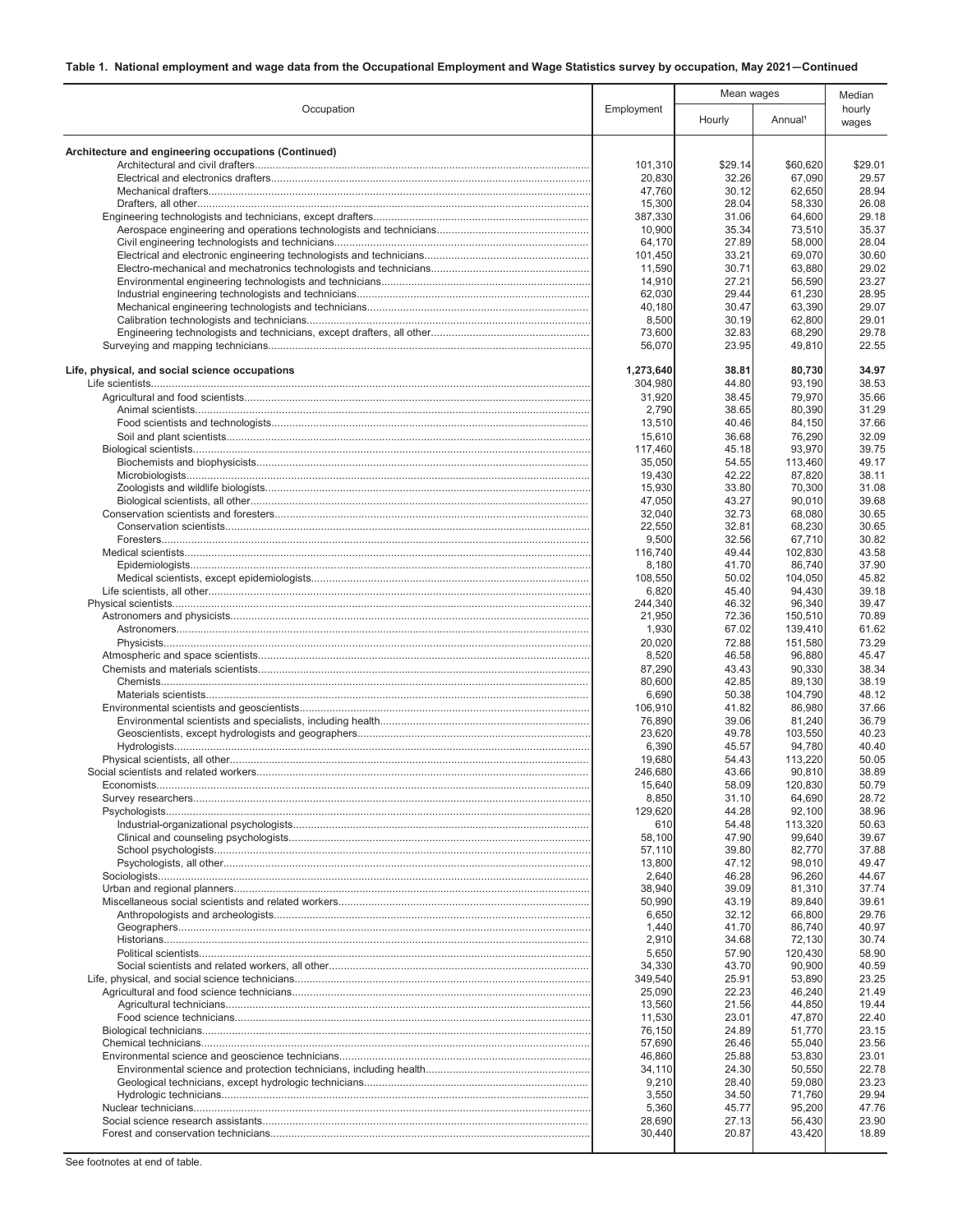|                                                      |                   | Mean wages     |                     | Median          |
|------------------------------------------------------|-------------------|----------------|---------------------|-----------------|
| Occupation                                           | Employment        | Hourly         | Annual <sup>1</sup> | hourly<br>wages |
| Architecture and engineering occupations (Continued) |                   |                |                     |                 |
|                                                      | 101,310           | \$29.14        | \$60,620            | \$29.01         |
|                                                      | 20,830            | 32.26          | 67,090              | 29.57           |
|                                                      | 47,760            | 30.12          | 62,650              | 28.94           |
|                                                      | 15,300            | 28.04          | 58,330              | 26.08           |
|                                                      | 387,330           | 31.06          | 64,600              | 29.18           |
|                                                      | 10,900            | 35.34          | 73,510              | 35.37           |
|                                                      | 64,170            | 27.89          | 58,000              | 28.04           |
|                                                      | 101,450           | 33.21          | 69,070              | 30.60           |
|                                                      | 11,590            | 30.71<br>27.21 | 63,880              | 29.02<br>23.27  |
|                                                      | 14,910<br>62,030  | 29.44          | 56,590<br>61,230    | 28.95           |
|                                                      | 40,180            | 30.47          | 63,390              | 29.07           |
|                                                      | 8,500             | 30.19          | 62,800              | 29.01           |
|                                                      | 73,600            | 32.83          | 68,290              | 29.78           |
|                                                      | 56,070            | 23.95          | 49,810              | 22.55           |
| Life, physical, and social science occupations       | 1,273,640         | 38.81          | 80,730              | 34.97           |
|                                                      | 304,980           | 44.80          | 93,190              | 38.53           |
|                                                      | 31,920            | 38.45          | 79,970              | 35.66           |
|                                                      | 2,790             | 38.65          | 80,390              | 31.29           |
|                                                      | 13,510            | 40.46          | 84,150              | 37.66           |
|                                                      | 15,610            | 36.68          | 76,290              | 32.09           |
|                                                      | 117.460           | 45.18          | 93,970              | 39.75           |
|                                                      | 35,050            | 54.55          | 113,460             | 49.17           |
|                                                      | 19,430            | 42.22          | 87,820              | 38.11           |
|                                                      | 15,930            | 33.80          | 70,300              | 31.08           |
|                                                      | 47,050            | 43.27          | 90,010              | 39.68           |
|                                                      | 32,040            | 32.73<br>32.81 | 68,080              | 30.65<br>30.65  |
|                                                      | 22,550<br>9,500   | 32.56          | 68,230<br>67,710    | 30.82           |
|                                                      | 116,740           | 49.44          | 102,830             | 43.58           |
|                                                      | 8,180             | 41.70          | 86,740              | 37.90           |
|                                                      | 108,550           | 50.02          | 104,050             | 45.82           |
|                                                      | 6,820             | 45.40          | 94,430              | 39.18           |
|                                                      | 244,340           | 46.32          | 96,340              | 39.47           |
|                                                      | 21,950            | 72.36          | 150,510             | 70.89           |
|                                                      | 1,930             | 67.02          | 139,410             | 61.62           |
|                                                      | 20,020            | 72.88          | 151,580             | 73.29           |
|                                                      | 8,520             | 46.58          | 96,880              | 45.47           |
|                                                      | 87,290            | 43.43          | 90,330              | 38.34           |
|                                                      | 80,600            | 42.85          | 89,130              | 38.19           |
|                                                      | 6,690             | 50.38          | 104.790             | 48.12           |
|                                                      | 106,910           | 41.82          | 86,980              | 37.66           |
|                                                      | 76,890            | 39.06          | 81,240              | 36.79           |
|                                                      | 23,620<br>6,390   | 49.78<br>45.57 | 103,550<br>94,780   | 40.23<br>40.40  |
|                                                      | 19,680            | 54.43          | 113,220             | 50.05           |
|                                                      | 246,680           | 43.66          | 90,810              | 38.89           |
|                                                      | 15,640            | 58.09          | 120,830             | 50.79           |
|                                                      | 8,850             | 31.10          | 64,690              | 28.72           |
|                                                      | 129,620           | 44.28          | 92,100              | 38.96           |
|                                                      | 610               | 54.48          | 113,320             | 50.63           |
|                                                      | 58,100            | 47.90          | 99,640              | 39.67           |
|                                                      | 57,110            | 39.80          | 82,770              | 37.88           |
|                                                      | 13,800            | 47.12          | 98,010              | 49.47           |
|                                                      | 2,640             | 46.28          | 96,260              | 44.67           |
|                                                      | 38,940            | 39.09          | 81.310              | 37.74           |
|                                                      | 50,990            | 43.19          | 89,840              | 39.61           |
|                                                      | 6,650             | 32.12          | 66,800              | 29.76           |
|                                                      | 1,440             | 41.70          | 86,740              | 40.97           |
|                                                      | 2,910             | 34.68          | 72,130              | 30.74           |
|                                                      | 5,650             | 57.90          | 120,430             | 58.90           |
|                                                      | 34,330            | 43.70          | 90,900              | 40.59           |
|                                                      | 349,540<br>25,090 | 25.91<br>22.23 | 53,890<br>46,240    | 23.25<br>21.49  |
|                                                      | 13,560            | 21.56          | 44,850              | 19.44           |
|                                                      | 11,530            | 23.01          | 47,870              | 22.40           |
|                                                      | 76,150            | 24.89          | 51,770              | 23.15           |
|                                                      | 57,690            | 26.46          | 55,040              | 23.56           |
|                                                      | 46,860            | 25.88          | 53,830              | 23.01           |
|                                                      | 34,110            | 24.30          | 50,550              | 22.78           |
|                                                      | 9,210             | 28.40          | 59,080              | 23.23           |
|                                                      | 3,550             | 34.50          | 71,760              | 29.94           |
|                                                      | 5,360             | 45.77          | 95,200              | 47.76           |
|                                                      | 28,690            | 27.13          | 56,430              | 23.90           |
|                                                      | 30,440            | 20.87          | 43,420              | 18.89           |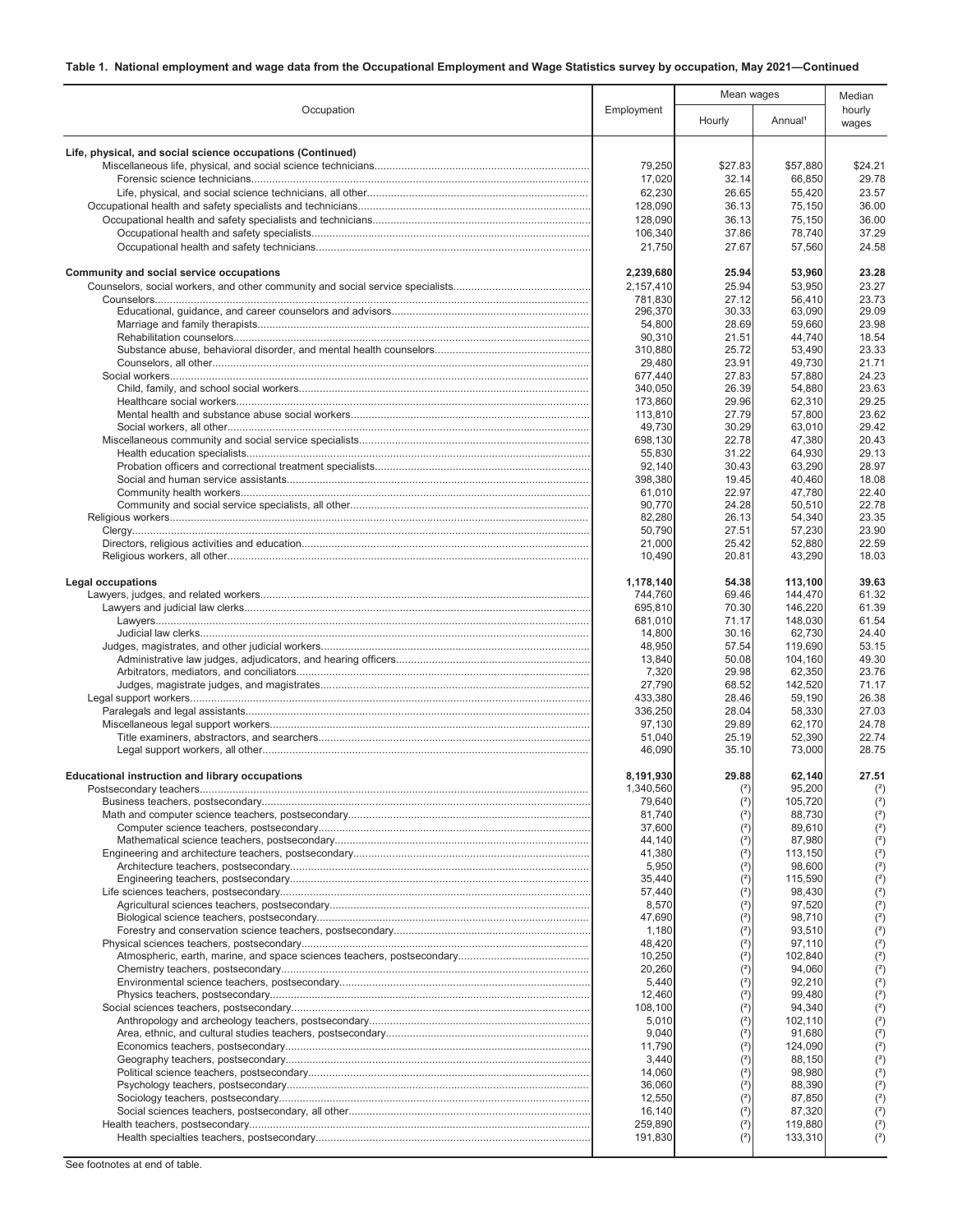|                                                            |                      | Mean wages     |                     | Median          |
|------------------------------------------------------------|----------------------|----------------|---------------------|-----------------|
| Occupation                                                 | Employment           | Hourly         | Annual <sup>1</sup> | hourly<br>wages |
| Life, physical, and social science occupations (Continued) |                      |                |                     |                 |
|                                                            | 79,250               | \$27.83        | \$57,880            | \$24.21         |
|                                                            | 17,020               | 32.14          | 66,850              | 29.78           |
|                                                            | 62,230               | 26.65          | 55,420              | 23.57           |
|                                                            | 128,090              | 36.13          | 75,150              | 36.00           |
|                                                            | 128,090              | 36.13          | 75,150              | 36.00           |
|                                                            | 106,340              | 37.86          | 78,740              | 37.29           |
|                                                            | 21,750               | 27.67          | 57,560              | 24.58           |
| Community and social service occupations                   | 2,239,680            | 25.94          | 53,960              | 23.28           |
|                                                            | 2,157,410            | 25.94          | 53,950              | 23.27           |
|                                                            | 781,830              | 27.12          | 56,410              | 23.73           |
|                                                            | 296,370<br>54,800    | 30.33<br>28.69 | 63,090<br>59,660    | 29.09<br>23.98  |
|                                                            | 90,310               | 21.51          | 44,740              | 18.54           |
|                                                            | 310,880              | 25.72          | 53,490              | 23.33           |
|                                                            | 29,480               | 23.91          | 49,730              | 21.71           |
|                                                            | 677,440              | 27.83          | 57,880              | 24.23           |
|                                                            | 340,050              | 26.39          | 54,880              | 23.63           |
|                                                            | 173,860              | 29.96          | 62,310              | 29.25           |
|                                                            | 113,810<br>49,730    | 27.79<br>30.29 | 57,800<br>63,010    | 23.62<br>29.42  |
|                                                            | 698,130              | 22.78          | 47,380              | 20.43           |
|                                                            | 55,830               | 31.22          | 64,930              | 29.13           |
|                                                            | 92,140               | 30.43          | 63,290              | 28.97           |
|                                                            | 398,380              | 19.45          | 40,460              | 18.08           |
|                                                            | 61,010               | 22.97          | 47,780              | 22.40           |
|                                                            | 90,770               | 24.28          | 50,510              | 22.78           |
|                                                            | 82,280               | 26.13          | 54,340              | 23.35           |
|                                                            | 50,790               | 27.51          | 57,230              | 23.90           |
|                                                            | 21,000<br>10,490     | 25.42<br>20.81 | 52,880<br>43,290    | 22.59<br>18.03  |
|                                                            |                      |                |                     |                 |
| <b>Legal occupations</b>                                   | 1,178,140<br>744,760 | 54.38<br>69.46 | 113,100<br>144,470  | 39.63<br>61.32  |
|                                                            | 695,810              | 70.30          | 146,220             | 61.39           |
|                                                            | 681,010              | 71.17          | 148,030             | 61.54           |
|                                                            | 14,800               | 30.16          | 62,730              | 24.40           |
|                                                            | 48,950               | 57.54          | 119,690             | 53.15           |
|                                                            | 13,840               | 50.08          | 104,160             | 49.30           |
|                                                            | 7,320                | 29.98          | 62,350              | 23.76           |
|                                                            | 27,790<br>433,380    | 68.52<br>28.46 | 142,520<br>59,190   | 71.17<br>26.38  |
|                                                            | 336,250              | 28.04          | 58,330              | 27.03           |
|                                                            | 97,130               | 29.89          | 62,170              | 24.78           |
|                                                            | 51,040               | 25.19          | 52,390              | 22.74           |
|                                                            | 46,090               | 35.10          | 73,000              | 28.75           |
| <b>Educational instruction and library occupations</b>     | 8,191,930            | 29.88          | 62,140              | 27.51           |
|                                                            | 1,340,560            |                | 95,200              | (2)             |
|                                                            | 79,640               | (2)            | 105,720             | $(2)$           |
|                                                            | 81,740               | (2)            | 88,730              | $2$             |
|                                                            | 37,600<br>44,140     | (2)<br>(2)     | 89,610<br>87,980    | $(2)$           |
|                                                            | 41,380               | (2)            | 113,150             | $(2)$<br>$2$    |
|                                                            | 5,950                | (2)            | 98.600              | $2$             |
|                                                            | 35,440               | (2)            | 115,590             | $(2)$           |
|                                                            | 57,440               | (2)            | 98,430              | (2)             |
|                                                            | 8,570                | (2)            | 97,520              | $(2)$           |
|                                                            | 47,690               | (2)            | 98,710              | $(2)$           |
|                                                            | 1,180                | (2)            | 93,510              | $2$             |
|                                                            | 48,420<br>10,250     | (2)            | 97,110<br>102,840   | $(2)$<br>(2)    |
|                                                            | 20,260               | (2)            | 94,060              | $2$             |
|                                                            | 5,440                |                | 92,210              | $(2)$           |
|                                                            | 12,460               | (2)            | 99,480              | $2$             |
|                                                            | 108,100              |                | 94,340              | $2$             |
|                                                            | 5,010                | (2)            | 102,110             | $(2)$           |
|                                                            | 9,040                |                | 91,680              | (2)             |
|                                                            | 11,790               |                | 124,090             | $(2)$           |
|                                                            | 3,440                |                | 88,150              | (2)             |
|                                                            | 14,060<br>36,060     | (2)<br>(2)     | 98,980<br>88,390    | $(2)$           |
|                                                            | 12,550               | (2)            | 87,850              | $(2)$<br>$(2)$  |
|                                                            | 16,140               | (2)            | 87,320              | $(2)$           |
|                                                            | 259,890              | (2)            | 119,880             | (2)             |
|                                                            | 191,830              | (2)            | 133,310             | $2$             |
|                                                            |                      |                |                     |                 |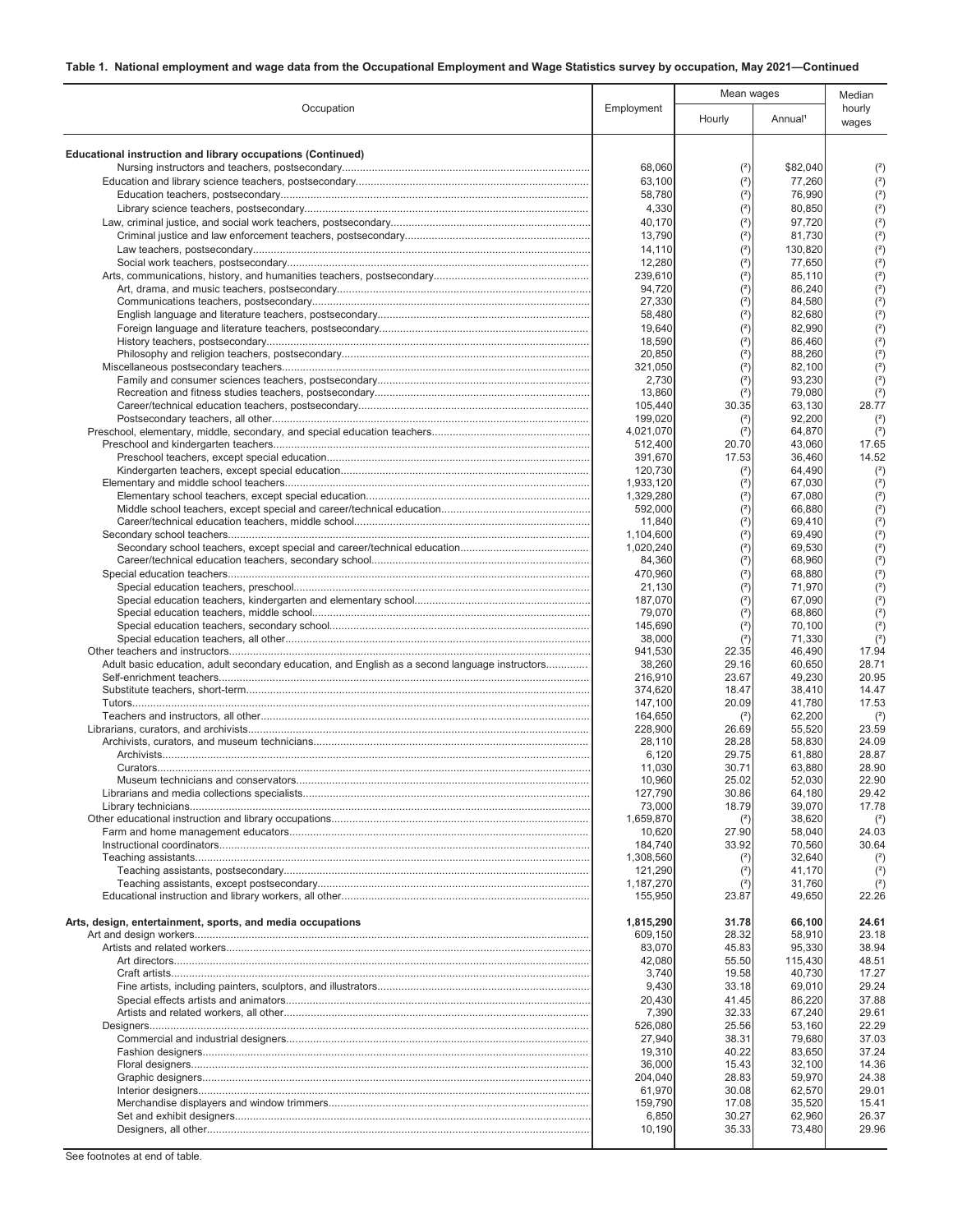|                                                                                                |                      | Mean wages     |                     | Median          |
|------------------------------------------------------------------------------------------------|----------------------|----------------|---------------------|-----------------|
| Occupation                                                                                     | Employment           | Hourly         | Annual <sup>1</sup> | hourly<br>wages |
| <b>Educational instruction and library occupations (Continued)</b>                             |                      |                |                     |                 |
|                                                                                                | 68,060               | (2)            | \$82,040            | (2)             |
|                                                                                                | 63,100               | (2)            | 77,260              | (2)             |
|                                                                                                | 58,780               | (2)            | 76,990              | (2)             |
|                                                                                                | 4,330                | (2)            | 80,850              | (2)             |
|                                                                                                | 40,170               | $2$            | 97,720              | (2)             |
|                                                                                                | 13,790<br>14,110     | $2$<br>$2$     | 81,730<br>130,820   | (2)<br>(2)      |
|                                                                                                | 12,280               | (2)            | 77,650              | (2)             |
|                                                                                                | 239,610              | (2)            | 85,110              | (2)             |
|                                                                                                | 94,720               | (2)            | 86,240              | (2)             |
|                                                                                                | 27,330               | (2)            | 84,580              | (2)             |
|                                                                                                | 58,480<br>19,640     | (2)<br>(2)     | 82,680<br>82,990    | (2)<br>(2)      |
|                                                                                                | 18,590               | (2)            | 86,460              | (2)             |
|                                                                                                | 20,850               | (2)            | 88,260              | (2)             |
|                                                                                                | 321,050              | (2)            | 82,100              | (2)             |
|                                                                                                | 2,730<br>13,860      | (2)<br>(2)     | 93,230<br>79,080    | (2)<br>(2)      |
|                                                                                                | 105.440              | 30.35          | 63.130              | 28.77           |
|                                                                                                | 199,020              | (2)            | 92,200              | $(2)$           |
|                                                                                                | 4,021,070            | (2)            | 64,870              | $(2)$           |
|                                                                                                | 512,400<br>391,670   | 20.70<br>17.53 | 43,060<br>36,460    | 17.65<br>14.52  |
|                                                                                                | 120,730              | $(2)$          | 64,490              | $(2)$           |
|                                                                                                | 1,933,120            | $(2)$          | 67,030              | (2)             |
|                                                                                                | 1,329,280            | (2)            | 67,080              | (2)             |
|                                                                                                | 592,000              | (2)            | 66,880              | (2)             |
|                                                                                                | 11,840<br>1,104,600  | (2)<br>(2)     | 69,410<br>69,490    | (2)<br>(2)      |
|                                                                                                | 1,020,240            | (2)            | 69,530              | (2)             |
|                                                                                                | 84,360               | (2)            | 68,960              | (2)             |
|                                                                                                | 470,960              | (2)            | 68,880              | (2)             |
|                                                                                                | 21,130<br>187,070    | (2)<br>(2)     | 71,970<br>67,090    | (2)<br>(2)      |
|                                                                                                | 79,070               | (2)            | 68,860              | $2$             |
|                                                                                                | 145,690              | (2)            | 70,100              | (2)             |
|                                                                                                | 38,000               | (2)            | 71,330              | (2)             |
|                                                                                                | 941,530              | 22.35<br>29.16 | 46,490              | 17.94<br>28.71  |
| Adult basic education, adult secondary education, and English as a second language instructors | 38,260<br>216,910    | 23.67          | 60,650<br>49,230    | 20.95           |
|                                                                                                | 374,620              | 18.47          | 38,410              | 14.47           |
|                                                                                                | 147,100              | 20.09          | 41,780              | 17.53           |
|                                                                                                | 164,650<br>228,900   | (2)<br>26.69   | 62,200<br>55,520    | $(2)$<br>23.59  |
|                                                                                                | 28.110               | 28.28          | 58,830              | 24.09           |
|                                                                                                | 6,120                | 29.75          | 61,880              | 28.87           |
|                                                                                                | 11.030               | 30.71          | 63,880              | 28.90           |
| Museum technicians and conservators.                                                           | 10,960<br>127,790    | 25.02<br>30.86 | 52,030<br>64,180    | 22.90<br>29.42  |
|                                                                                                | 73,000               | 18.79          | 39,070              | 17.78           |
|                                                                                                | 1,659,870            | (2)            | 38,620              | (2)             |
|                                                                                                | 10,620               | 27.90          | 58,040              | 24.03           |
|                                                                                                | 184,740<br>1,308,560 | 33.92<br>$(2)$ | 70,560<br>32,640    | 30.64<br>$(2)$  |
|                                                                                                | 121,290              | (2)            | 41,170              | $(2)$           |
|                                                                                                | 1,187,270            | (2)            | 31,760              | $(2)$           |
|                                                                                                | 155.950              | 23.87          | 49,650              | 22.26           |
| Arts, design, entertainment, sports, and media occupations                                     | 1,815,290            | 31.78          | 66,100              | 24.61           |
|                                                                                                | 609,150              | 28.32          | 58,910              | 23.18           |
|                                                                                                | 83,070               | 45.83          | 95,330              | 38.94           |
|                                                                                                | 42,080               | 55.50          | 115,430             | 48.51           |
|                                                                                                | 3,740<br>9,430       | 19.58<br>33.18 | 40.730<br>69,010    | 17.27<br>29.24  |
|                                                                                                | 20,430               | 41.45          | 86,220              | 37.88           |
|                                                                                                | 7,390                | 32.33          | 67,240              | 29.61           |
|                                                                                                | 526,080              | 25.56          | 53,160              | 22.29           |
|                                                                                                | 27,940               | 38.31          | 79,680              | 37.03           |
|                                                                                                | 19,310<br>36,000     | 40.22<br>15.43 | 83,650<br>32,100    | 37.24<br>14.36  |
|                                                                                                | 204,040              | 28.83          | 59,970              | 24.38           |
|                                                                                                | 61,970               | 30.08          | 62,570              | 29.01           |
|                                                                                                | 159,790              | 17.08          | 35,520              | 15.41           |
|                                                                                                | 6,850<br>10,190      | 30.27<br>35.33 | 62,960<br>73,480    | 26.37<br>29.96  |
|                                                                                                |                      |                |                     |                 |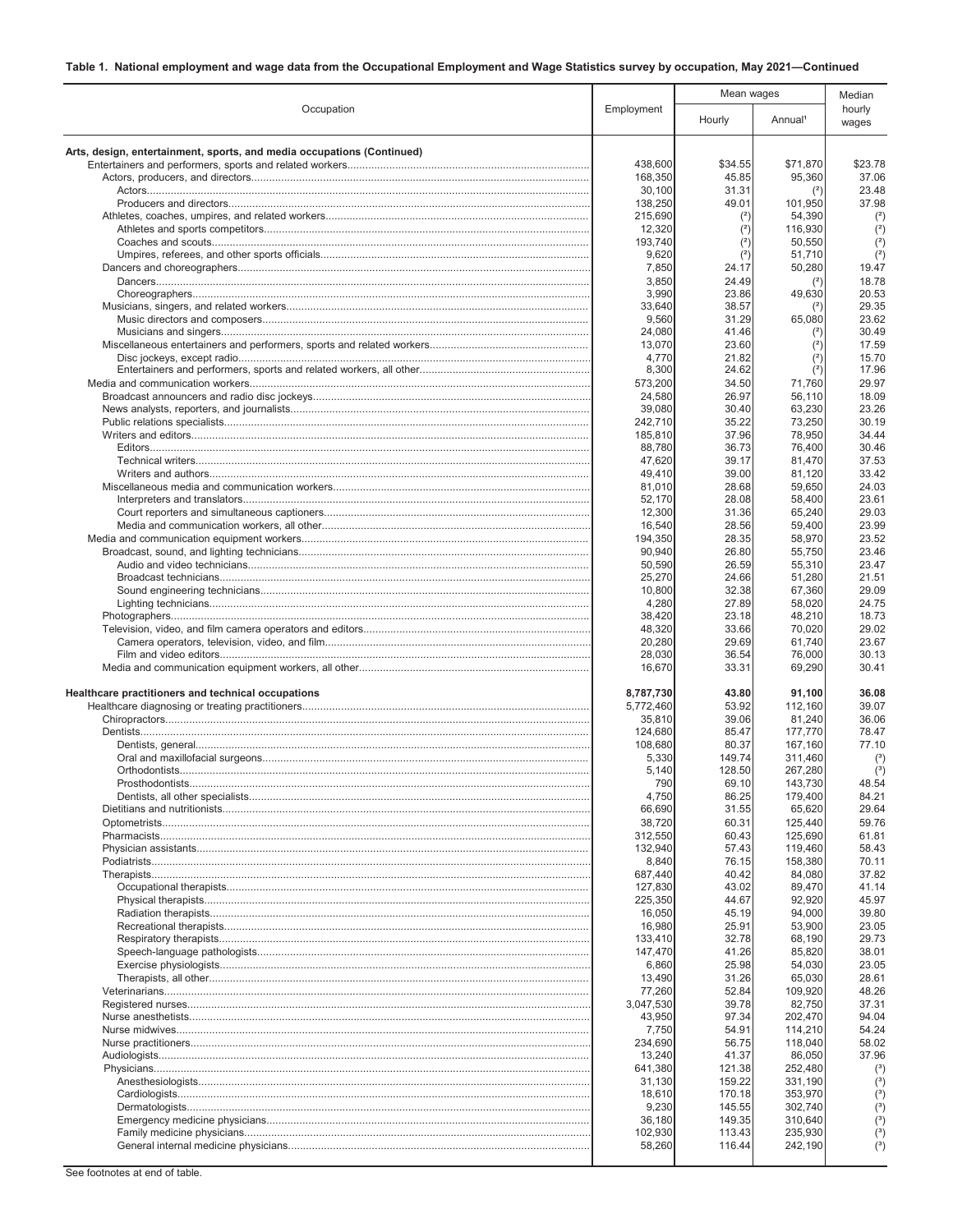|                                                                        |                    | Mean wages       |                     | Median              |
|------------------------------------------------------------------------|--------------------|------------------|---------------------|---------------------|
| Occupation                                                             | Employment         | Hourly           | Annual <sup>1</sup> | hourly<br>wages     |
| Arts, design, entertainment, sports, and media occupations (Continued) |                    |                  |                     |                     |
|                                                                        | 438,600            | \$34.55          | \$71,870            | \$23.78             |
|                                                                        | 168,350            | 45.85            | 95,360              | 37.06               |
|                                                                        | 30,100             | 31.31            | (2)                 | 23.48               |
|                                                                        | 138,250<br>215,690 | 49.01<br>(2)     | 101,950<br>54,390   | 37.98<br>(2)        |
|                                                                        | 12,320             | (2)              | 116,930             | $(2)$               |
|                                                                        | 193,740            | (2)              | 50,550              | (2)                 |
|                                                                        | 9,620              | (2)              | 51,710              | (2)                 |
|                                                                        | 7,850<br>3,850     | 24.17            | 50,280              | 19.47<br>18.78      |
|                                                                        | 3,990              | 24.49<br>23.86   | 49,630              | 20.53               |
|                                                                        | 33.640             | 38.57            | (2)                 | 29.35               |
|                                                                        | 9,560              | 31.29            | 65,080              | 23.62               |
|                                                                        | 24,080             | 41.46            | (2)                 | 30.49               |
|                                                                        | 13,070<br>4,770    | 23.60<br>21.82   | (2)<br>(2)          | 17.59<br>15.70      |
|                                                                        | 8,300              | 24.62            | (2)                 | 17.96               |
|                                                                        | 573,200            | 34.50            | 71,760              | 29.97               |
|                                                                        | 24,580             | 26.97            | 56,110              | 18.09               |
|                                                                        | 39,080             | 30.40            | 63,230              | 23.26<br>30.19      |
|                                                                        | 242,710<br>185,810 | 35.22<br>37.96   | 73,250<br>78,950    | 34.44               |
|                                                                        | 88,780             | 36.73            | 76,400              | 30.46               |
|                                                                        | 47,620             | 39.17            | 81,470              | 37.53               |
|                                                                        | 49,410             | 39.00            | 81,120              | 33.42               |
|                                                                        | 81,010             | 28.68<br>28.08   | 59,650              | 24.03<br>23.61      |
|                                                                        | 52,170<br>12,300   | 31.36            | 58,400<br>65,240    | 29.03               |
|                                                                        | 16,540             | 28.56            | 59,400              | 23.99               |
|                                                                        | 194,350            | 28.35            | 58,970              | 23.52               |
|                                                                        | 90,940             | 26.80            | 55,750              | 23.46               |
|                                                                        | 50,590<br>25,270   | 26.59<br>24.66   | 55,310<br>51,280    | 23.47<br>21.51      |
|                                                                        | 10,800             | 32.38            | 67,360              | 29.09               |
|                                                                        | 4,280              | 27.89            | 58,020              | 24.75               |
|                                                                        | 38,420             | 23.18            | 48,210              | 18.73               |
|                                                                        | 48,320             | 33.66            | 70,020              | 29.02<br>23.67      |
|                                                                        | 20,280<br>28,030   | 29.69<br>36.54   | 61,740<br>76,000    | 30.13               |
|                                                                        | 16,670             | 33.31            | 69,290              | 30.41               |
| Healthcare practitioners and technical occupations                     | 8,787,730          | 43.80            | 91,100              | 36.08               |
|                                                                        | 5,772,460          | 53.92            | 112,160             | 39.07               |
|                                                                        | 35,810<br>124,680  | 39.06<br>85.47   | 81,240              | 36.06<br>78.47      |
|                                                                        | 108,680            | 80.37            | 177,770<br>167,160  | 77.10               |
|                                                                        | 5,330              | 149.74           | 311,460             | (3)                 |
|                                                                        | 5,140              | 128.50           | 267,280             | $(^3)$              |
|                                                                        | 790                | 69.10            | 143,730             | 48.54               |
|                                                                        | 4,750<br>66,690    | 86.25<br>31.55   | 179,400<br>65,620   | 84.21<br>29.64      |
|                                                                        | 38,720             | 60.31            | 125,440             | 59.76               |
|                                                                        | 312,550            | 60.43            | 125,690             | 61.81               |
|                                                                        | 132,940            | 57.43            | 119,460             | 58.43               |
|                                                                        | 8,840              | 76.15            | 158,380             | 70.11               |
|                                                                        | 687.440<br>127,830 | 40.42<br>43.02   | 84,080<br>89,470    | 37.82<br>41.14      |
|                                                                        | 225,350            | 44.67            | 92,920              | 45.97               |
|                                                                        | 16,050             | 45.19            | 94,000              | 39.80               |
|                                                                        | 16,980             | 25.91            | 53,900              | 23.05               |
|                                                                        | 133,410            | 32.78<br>41.26   | 68,190              | 29.73<br>38.01      |
|                                                                        | 147,470<br>6,860   | 25.98            | 85,820<br>54,030    | 23.05               |
|                                                                        | 13,490             | 31.26            | 65,030              | 28.61               |
|                                                                        | 77,260             | 52.84            | 109,920             | 48.26               |
|                                                                        | 3,047,530          | 39.78            | 82,750              | 37.31               |
|                                                                        | 43,950<br>7,750    | 97.34<br>54.91   | 202,470<br>114,210  | 94.04<br>54.24      |
|                                                                        | 234,690            | 56.75            | 118,040             | 58.02               |
|                                                                        | 13,240             | 41.37            | 86,050              | 37.96               |
|                                                                        | 641,380            | 121.38           | 252,480             | $^{\left(3\right)}$ |
|                                                                        | 31,130             | 159.22           | 331,190             | (3)                 |
|                                                                        | 18,610<br>9,230    | 170.18<br>145.55 | 353,970<br>302,740  | (3)<br>(3)          |
|                                                                        | 36,180             | 149.35           | 310,640             | (3)                 |
|                                                                        | 102,930            | 113.43           | 235,930             | $(^3)$              |
|                                                                        | 58,260             | 116.44           | 242,190             | (3)                 |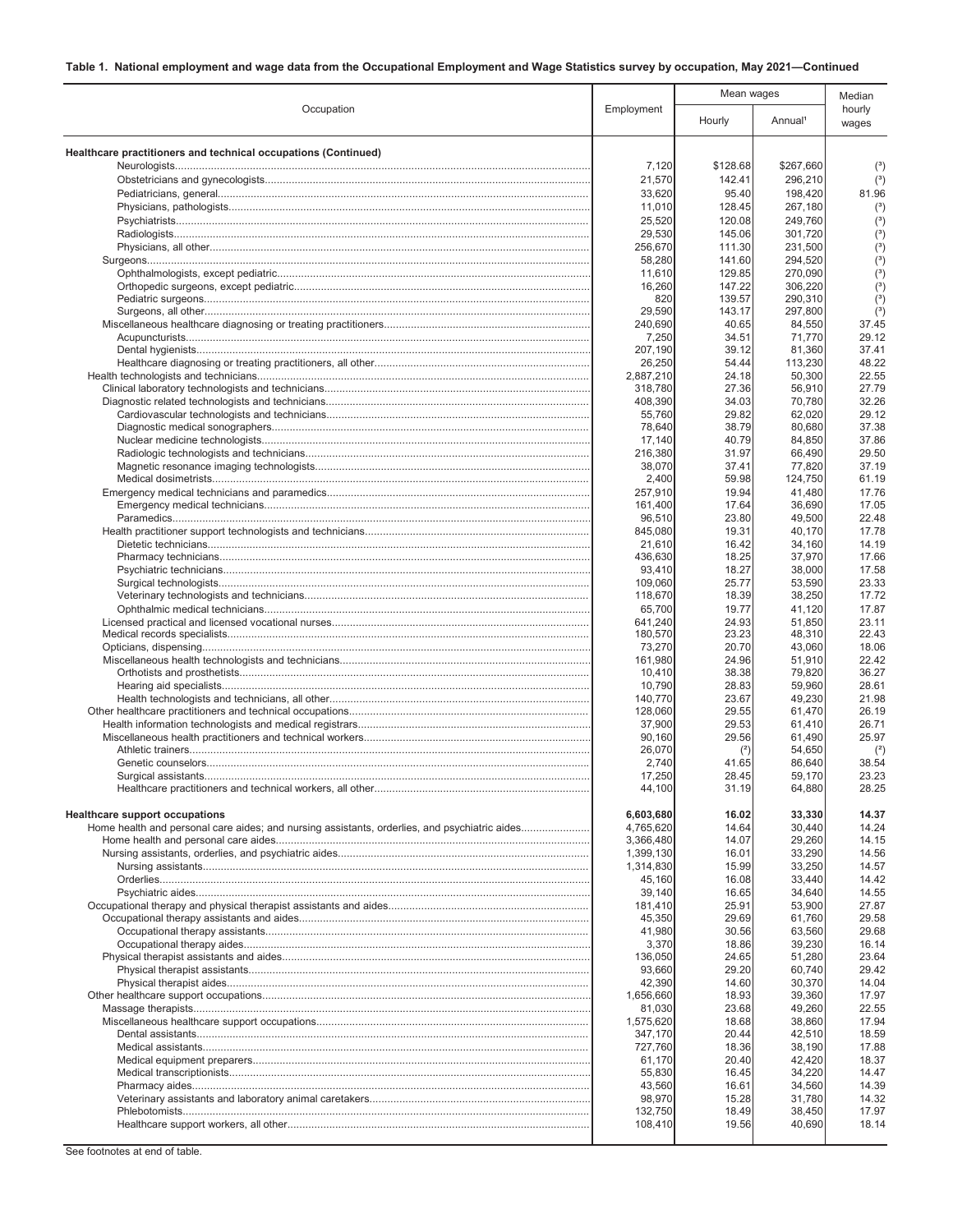|                                                                                               |                     | Mean wages       |                     | Median          |
|-----------------------------------------------------------------------------------------------|---------------------|------------------|---------------------|-----------------|
| Occupation                                                                                    | Employment          | Hourly           | Annual <sup>1</sup> | hourly<br>wages |
| Healthcare practitioners and technical occupations (Continued)                                |                     |                  |                     |                 |
|                                                                                               | 7,120               | \$128.68         | \$267,660           | (3)             |
|                                                                                               | 21,570              | 142.41           | 296,210             | $\binom{3}{ }$  |
|                                                                                               | 33,620              | 95.40            | 198,420             | 81.96           |
|                                                                                               | 11,010<br>25,520    | 128.45<br>120.08 | 267,180<br>249,760  | $(^3)$<br>(3)   |
|                                                                                               | 29,530              | 145.06           | 301,720             | $(^3)$          |
|                                                                                               | 256,670             | 111.30           | 231,500             | (3)             |
|                                                                                               | 58,280              | 141.60           | 294,520             | (3)             |
|                                                                                               | 11,610              | 129.85           | 270,090             | (3)             |
|                                                                                               | 16,260<br>820       | 147.22<br>139.57 | 306,220<br>290,310  | (3)<br>$(^3)$   |
|                                                                                               | 29,590              | 143.17           | 297,800             | $(^3)$          |
|                                                                                               | 240,690             | 40.65            | 84,550              | 37.45           |
|                                                                                               | 7,250               | 34.51            | 71,770              | 29.12           |
|                                                                                               | 207,190             | 39.12            | 81,360              | 37.41           |
|                                                                                               | 26,250<br>2,887,210 | 54.44<br>24.18   | 113,230<br>50,300   | 48.22<br>22.55  |
|                                                                                               | 318,780             | 27.36            | 56,910              | 27.79           |
|                                                                                               | 408,390             | 34.03            | 70,780              | 32.26           |
|                                                                                               | 55,760              | 29.82            | 62,020              | 29.12           |
|                                                                                               | 78,640<br>17,140    | 38.79<br>40.79   | 80,680<br>84,850    | 37.38<br>37.86  |
|                                                                                               | 216,380             | 31.97            | 66,490              | 29.50           |
|                                                                                               | 38,070              | 37.41            | 77,820              | 37.19           |
|                                                                                               | 2,400               | 59.98            | 124,750             | 61.19           |
|                                                                                               | 257,910             | 19.94            | 41,480              | 17.76           |
|                                                                                               | 161,400             | 17.64<br>23.80   | 36,690              | 17.05<br>22.48  |
|                                                                                               | 96,510<br>845,080   | 19.31            | 49,500<br>40,170    | 17.78           |
|                                                                                               | 21,610              | 16.42            | 34,160              | 14.19           |
|                                                                                               | 436,630             | 18.25            | 37,970              | 17.66           |
|                                                                                               | 93,410              | 18.27            | 38,000              | 17.58           |
|                                                                                               | 109,060             | 25.77            | 53,590<br>38,250    | 23.33<br>17.72  |
|                                                                                               | 118,670<br>65,700   | 18.39<br>19.77   | 41,120              | 17.87           |
|                                                                                               | 641,240             | 24.93            | 51,850              | 23.11           |
|                                                                                               | 180,570             | 23.23            | 48,310              | 22.43           |
|                                                                                               | 73,270              | 20.70            | 43,060              | 18.06           |
|                                                                                               | 161,980<br>10,410   | 24.96<br>38.38   | 51,910<br>79,820    | 22.42<br>36.27  |
|                                                                                               | 10,790              | 28.83            | 59,960              | 28.61           |
|                                                                                               | 140,770             | 23.67            | 49,230              | 21.98           |
|                                                                                               | 128,060             | 29.55            | 61,470              | 26.19           |
|                                                                                               | 37,900              | 29.53            | 61,410              | 26.71           |
|                                                                                               | 90,160<br>26,070    | 29.56<br>(2)     | 61,490<br>54,650    | 25.97<br>$(2)$  |
|                                                                                               | 2,740               | 41.65            | 86,640              | 38.54           |
|                                                                                               | 17,250              | 28.45            | 59,170              | 23.23           |
|                                                                                               | 44,100              | 31.19            | 64,880              | 28.25           |
| <b>Healthcare support occupations</b>                                                         | 6,603,680           | 16.02            | 33,330              | 14.37           |
| Home health and personal care aides; and nursing assistants, orderlies, and psychiatric aides | 4,765,620           | 14.64            | 30,440              | 14.24           |
|                                                                                               | 3,366,480           | 14.07            | 29,260              | 14.15           |
|                                                                                               | 1,399,130           | 16.01            | 33,290              | 14.56           |
|                                                                                               | 1,314,830           | 15.99            | 33,250              | 14.57           |
|                                                                                               | 45,160<br>39,140    | 16.08<br>16.65   | 33,440              | 14.42<br>14.55  |
|                                                                                               | 181,410             | 25.91            | 34,640<br>53,900    | 27.87           |
|                                                                                               | 45,350              | 29.69            | 61,760              | 29.58           |
|                                                                                               | 41,980              | 30.56            | 63,560              | 29.68           |
|                                                                                               | 3,370               | 18.86            | 39,230              | 16.14           |
|                                                                                               | 136,050<br>93,660   | 24.65<br>29.20   | 51,280<br>60,740    | 23.64<br>29.42  |
|                                                                                               | 42,390              | 14.60            | 30,370              | 14.04           |
|                                                                                               | 1,656,660           | 18.93            | 39,360              | 17.97           |
|                                                                                               | 81,030              | 23.68            | 49,260              | 22.55           |
|                                                                                               | 1,575,620           | 18.68            | 38,860              | 17.94           |
|                                                                                               | 347,170             | 20.44            | 42,510              | 18.59<br>17.88  |
|                                                                                               | 727,760<br>61,170   | 18.36<br>20.40   | 38,190<br>42,420    | 18.37           |
|                                                                                               | 55,830              | 16.45            | 34,220              | 14.47           |
|                                                                                               | 43,560              | 16.61            | 34,560              | 14.39           |
|                                                                                               | 98,970              | 15.28            | 31,780              | 14.32           |
|                                                                                               | 132,750<br>108,410  | 18.49<br>19.56   | 38,450<br>40,690    | 17.97<br>18.14  |
|                                                                                               |                     |                  |                     |                 |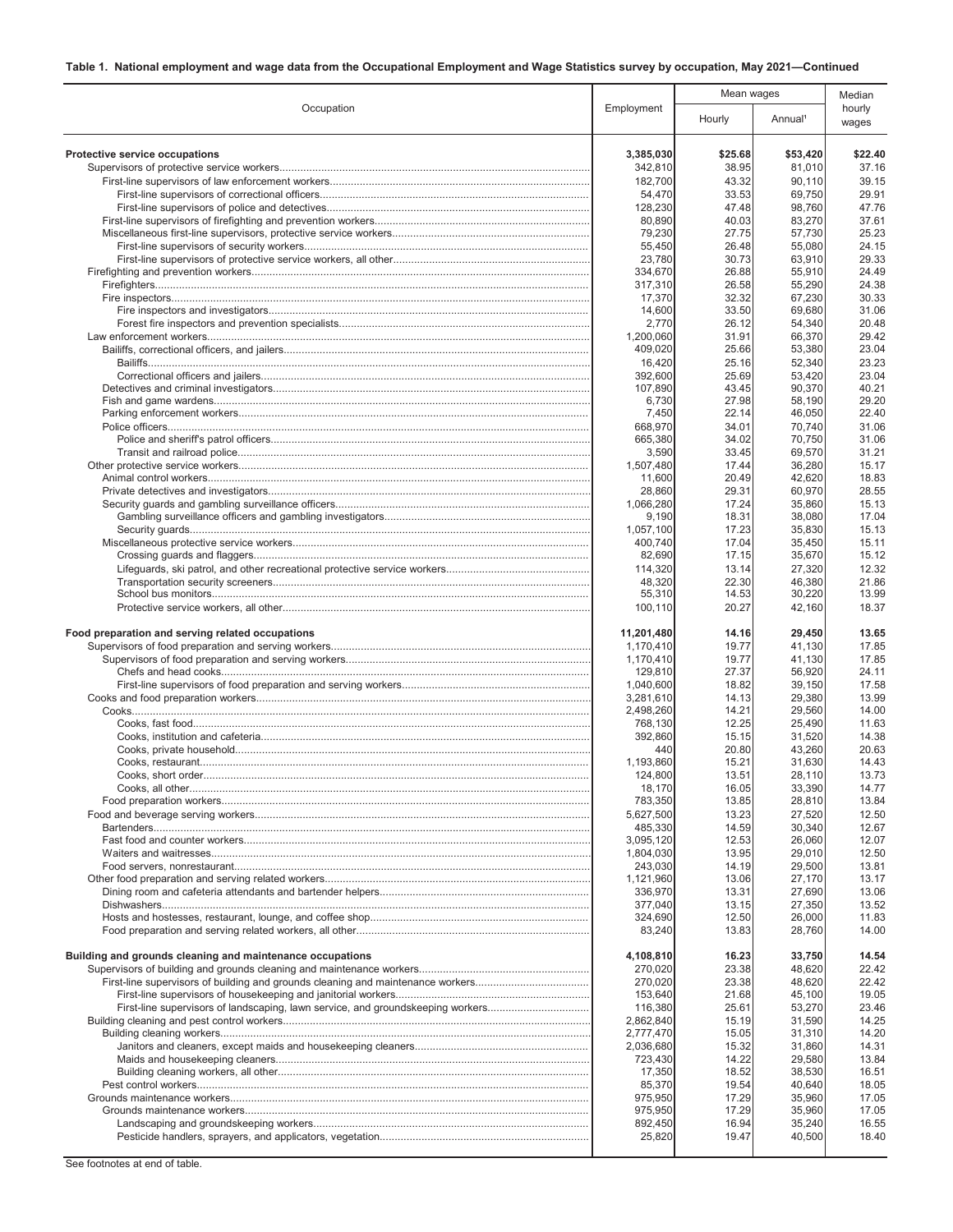|                                                                                 |                        | Mean wages     |                     | Median          |
|---------------------------------------------------------------------------------|------------------------|----------------|---------------------|-----------------|
| Occupation                                                                      | Employment             | Hourly         | Annual <sup>1</sup> | hourly<br>wages |
| Protective service occupations                                                  | 3,385,030              | \$25.68        | \$53,420            | \$22.40         |
|                                                                                 | 342,810<br>182,700     | 38.95<br>43.32 | 81,010<br>90,110    | 37.16<br>39.15  |
|                                                                                 | 54,470                 | 33.53          | 69,750              | 29.91           |
|                                                                                 | 128,230                | 47.48          | 98,760              | 47.76           |
|                                                                                 | 80,890                 | 40.03          | 83,270              | 37.61           |
|                                                                                 | 79,230                 | 27.75          | 57,730              | 25.23           |
|                                                                                 | 55,450                 | 26.48          | 55,080              | 24.15           |
|                                                                                 | 23,780                 | 30.73          | 63,910              | 29.33           |
|                                                                                 | 334,670                | 26.88          | 55,910              | 24.49           |
|                                                                                 | 317,310<br>17,370      | 26.58<br>32.32 | 55,290<br>67,230    | 24.38<br>30.33  |
|                                                                                 | 14,600                 | 33.50          | 69,680              | 31.06           |
|                                                                                 | 2,770                  | 26.12          | 54,340              | 20.48           |
|                                                                                 | 1,200,060              | 31.91          | 66,370              | 29.42           |
|                                                                                 | 409,020                | 25.66          | 53,380              | 23.04           |
|                                                                                 | 16,420                 | 25.16          | 52,340              | 23.23           |
|                                                                                 | 392,600                | 25.69          | 53,420              | 23.04           |
|                                                                                 | 107,890                | 43.45          | 90,370              | 40.21<br>29.20  |
|                                                                                 | 6,730<br>7,450         | 27.98<br>22.14 | 58,190<br>46,050    | 22.40           |
|                                                                                 | 668,970                | 34.01          | 70,740              | 31.06           |
|                                                                                 | 665,380                | 34.02          | 70,750              | 31.06           |
|                                                                                 | 3,590                  | 33.45          | 69,570              | 31.21           |
|                                                                                 | 1,507,480              | 17.44          | 36,280              | 15.17           |
|                                                                                 | 11,600                 | 20.49          | 42,620              | 18.83           |
|                                                                                 | 28.860                 | 29.31          | 60,970              | 28.55           |
|                                                                                 | 1,066,280              | 17.24          | 35,860              | 15.13           |
|                                                                                 | 9,190<br>1,057,100     | 18.31<br>17.23 | 38,080<br>35,830    | 17.04<br>15.13  |
|                                                                                 | 400,740                | 17.04          | 35,450              | 15.11           |
|                                                                                 | 82,690                 | 17.15          | 35,670              | 15.12           |
|                                                                                 | 114,320                | 13.14          | 27,320              | 12.32           |
|                                                                                 | 48,320                 | 22.30          | 46,380              | 21.86           |
|                                                                                 | 55,310                 | 14.53          | 30,220              | 13.99           |
|                                                                                 | 100,110                | 20.27          | 42,160              | 18.37           |
| Food preparation and serving related occupations                                | 11,201,480             | 14.16          | 29,450              | 13.65           |
|                                                                                 | 1,170,410              | 19.77          | 41,130              | 17.85           |
|                                                                                 | 1,170,410              | 19.77          | 41,130              | 17.85           |
|                                                                                 | 129,810                | 27.37          | 56,920              | 24.11           |
|                                                                                 | 1,040,600              | 18.82          | 39,150              | 17.58           |
|                                                                                 | 3,281,610              | 14.13          | 29,380              | 13.99           |
|                                                                                 | 2.498.260<br>768,130   | 14.21<br>12.25 | 29,560<br>25,490    | 14.00<br>11.63  |
|                                                                                 | 392,860                | 15.15          | 31,520              | 14.38           |
|                                                                                 | 440                    | 20.80          | 43,260              | 20.63           |
|                                                                                 | 1,193,860              | 15.21          | 31,630              | 14.43           |
|                                                                                 | 124,800                | 13.51          | 28,110              | 13.73           |
|                                                                                 | 18,170                 | 16.05          | 33,390              | 14.77           |
|                                                                                 | 783,350                | 13.85          | 28,810              | 13.84           |
|                                                                                 | 5,627,500              | 13.23          | 27,520              | 12.50           |
|                                                                                 | 485,330                | 14.59          | 30,340              | 12.67<br>12.07  |
|                                                                                 | 3,095,120<br>1,804,030 | 12.53<br>13.95 | 26,060<br>29,010    | 12.50           |
|                                                                                 | 243,030                | 14.19          | 29,500              | 13.81           |
|                                                                                 | 1,121,960              | 13.06          | 27,170              | 13.17           |
|                                                                                 | 336,970                | 13.31          | 27,690              | 13.06           |
|                                                                                 | 377.040                | 13.15          | 27,350              | 13.52           |
|                                                                                 | 324,690                | 12.50          | 26,000              | 11.83           |
|                                                                                 | 83,240                 | 13.83          | 28,760              | 14.00           |
| Building and grounds cleaning and maintenance occupations                       | 4,108,810              | 16.23          | 33,750              | 14.54           |
|                                                                                 | 270,020                | 23.38          | 48,620              | 22.42           |
|                                                                                 | 270,020                | 23.38          | 48,620              | 22.42           |
|                                                                                 | 153,640                | 21.68          | 45,100              | 19.05           |
| First-line supervisors of landscaping, lawn service, and groundskeeping workers | 116,380                | 25.61          | 53,270              | 23.46           |
|                                                                                 | 2,862,840              | 15.19          | 31,590              | 14.25           |
|                                                                                 | 2,777,470              | 15.05          | 31,310              | 14.20           |
|                                                                                 | 2,036,680<br>723,430   | 15.32<br>14.22 | 31,860<br>29,580    | 14.31<br>13.84  |
|                                                                                 | 17,350                 | 18.52          | 38,530              | 16.51           |
|                                                                                 | 85,370                 | 19.54          | 40,640              | 18.05           |
|                                                                                 | 975,950                | 17.29          | 35,960              | 17.05           |
|                                                                                 | 975,950                | 17.29          | 35,960              | 17.05           |
|                                                                                 | 892,450                | 16.94          | 35,240              | 16.55           |
|                                                                                 | 25,820                 | 19.47          | 40,500              | 18.40           |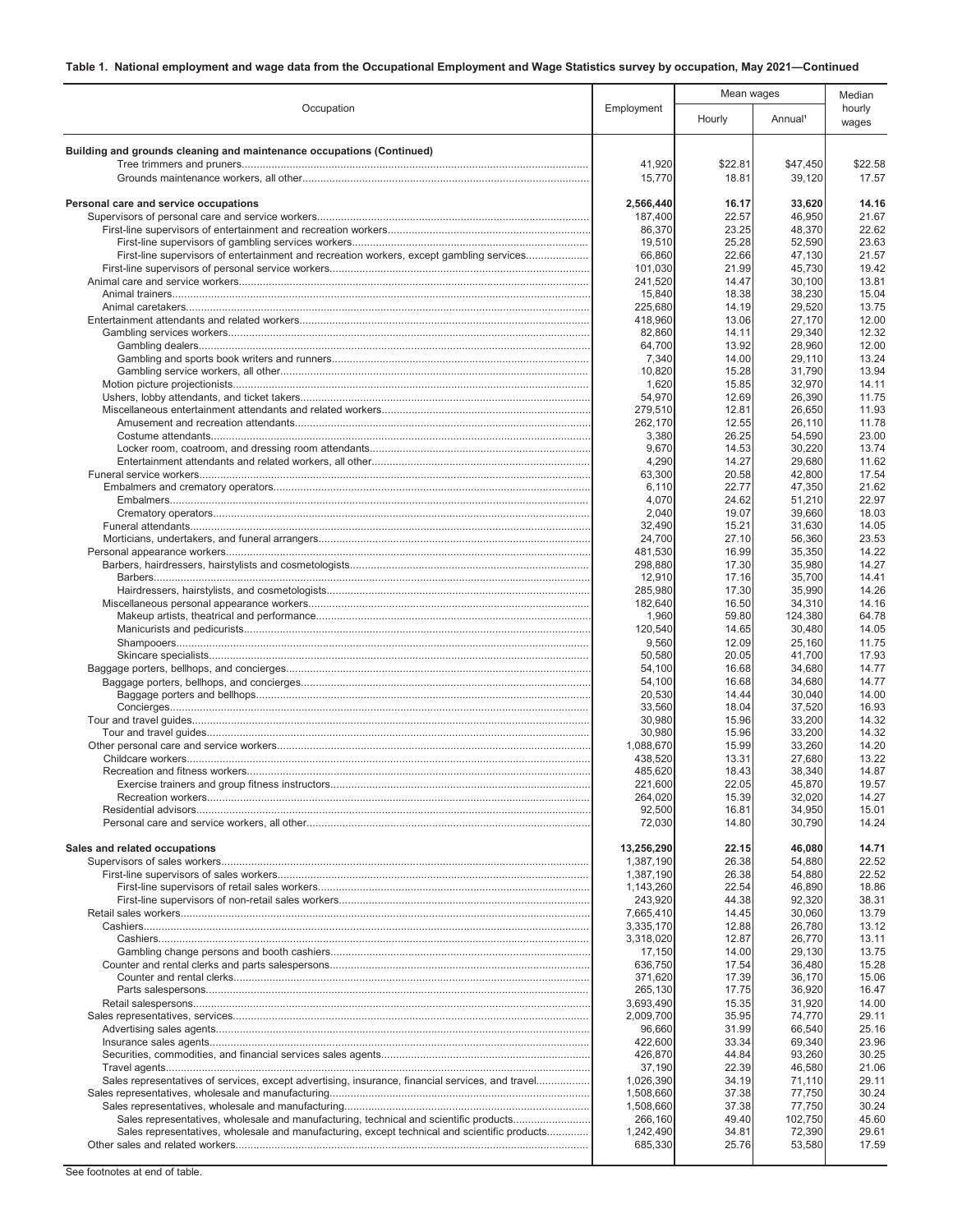|                                                                                                  |                      | Mean wages     |                     | Median          |
|--------------------------------------------------------------------------------------------------|----------------------|----------------|---------------------|-----------------|
| Occupation                                                                                       | Employment           | Hourly         | Annual <sup>1</sup> | hourly<br>wages |
| Building and grounds cleaning and maintenance occupations (Continued)                            |                      |                |                     |                 |
|                                                                                                  | 41,920               | \$22.81        | \$47,450            | \$22.58         |
|                                                                                                  | 15,770               | 18.81          | 39,120              | 17.57           |
| Personal care and service occupations                                                            | 2,566,440            | 16.17          | 33,620              | 14.16           |
|                                                                                                  | 187,400              | 22.57          | 46,950              | 21.67           |
|                                                                                                  | 86,370               | 23.25          | 48,370              | 22.62           |
| First-line supervisors of entertainment and recreation workers, except gambling services         | 19,510<br>66,860     | 25.28<br>22.66 | 52,590<br>47,130    | 23.63<br>21.57  |
|                                                                                                  | 101,030              | 21.99          | 45,730              | 19.42           |
|                                                                                                  | 241,520              | 14.47          | 30,100              | 13.81           |
|                                                                                                  | 15,840               | 18.38          | 38,230              | 15.04           |
|                                                                                                  | 225,680              | 14.19          | 29,520              | 13.75           |
|                                                                                                  | 418,960<br>82,860    | 13.06<br>14.11 | 27,170<br>29,340    | 12.00<br>12.32  |
|                                                                                                  | 64,700               | 13.92          | 28,960              | 12.00           |
|                                                                                                  | 7,340                | 14.00          | 29,110              | 13.24           |
|                                                                                                  | 10,820               | 15.28          | 31,790              | 13.94           |
|                                                                                                  | 1,620                | 15.85          | 32,970              | 14.11           |
|                                                                                                  | 54,970<br>279,510    | 12.69<br>12.81 | 26,390<br>26,650    | 11.75<br>11.93  |
|                                                                                                  | 262,170              | 12.55          | 26,110              | 11.78           |
|                                                                                                  | 3,380                | 26.25          | 54,590              | 23.00           |
|                                                                                                  | 9,670                | 14.53          | 30,220              | 13.74           |
|                                                                                                  | 4,290<br>63,300      | 14.27<br>20.58 | 29.680<br>42,800    | 11.62<br>17.54  |
|                                                                                                  | 6,110                | 22.77          | 47,350              | 21.62           |
|                                                                                                  | 4,070                | 24.62          | 51,210              | 22.97           |
|                                                                                                  | 2,040                | 19.07          | 39,660              | 18.03           |
|                                                                                                  | 32.490               | 15.21          | 31,630              | 14.05           |
|                                                                                                  | 24,700<br>481,530    | 27.10<br>16.99 | 56,360<br>35,350    | 23.53<br>14.22  |
|                                                                                                  | 298,880              | 17.30          | 35,980              | 14.27           |
|                                                                                                  | 12,910               | 17.16          | 35,700              | 14.41           |
|                                                                                                  | 285,980              | 17.30          | 35,990              | 14.26           |
|                                                                                                  | 182,640              | 16.50          | 34,310              | 14.16           |
|                                                                                                  | 1,960<br>120,540     | 59.80<br>14.65 | 124,380<br>30,480   | 64.78<br>14.05  |
|                                                                                                  | 9,560                | 12.09          | 25,160              | 11.75           |
|                                                                                                  | 50,580               | 20.05          | 41,700              | 17.93           |
|                                                                                                  | 54,100               | 16.68          | 34,680              | 14.77           |
|                                                                                                  | 54,100               | 16.68          | 34,680              | 14.77           |
|                                                                                                  | 20,530<br>33,560     | 14.44<br>18.04 | 30,040<br>37,520    | 14.00<br>16.93  |
|                                                                                                  | 30,980               | 15.96          | 33,200              | 14.32           |
|                                                                                                  | 30,980               | 15.96          | 33,200              | 14.32           |
|                                                                                                  | 1,088,670            | 15.99          | 33,260              | 14.20           |
|                                                                                                  | 438.520<br>485,620   | 13.31<br>18.43 | 27,680<br>38,340    | 13.22<br>14.87  |
|                                                                                                  | 221,600              | 22.05          | 45,870              | 19.57           |
|                                                                                                  | 264,020              | 15.39          | 32,020              | 14.27           |
|                                                                                                  | 92,500               | 16.81          | 34,950              | 15.01           |
|                                                                                                  | 72,030               | 14.80          | 30,790              | 14.24           |
| Sales and related occupations                                                                    | 13,256,290           | 22.15          | 46,080              | 14.71           |
|                                                                                                  | 1,387,190            | 26.38          | 54,880              | 22.52           |
|                                                                                                  | 1,387,190            | 26.38          | 54,880              | 22.52           |
|                                                                                                  | 1,143,260            | 22.54<br>44.38 | 46,890<br>92,320    | 18.86<br>38.31  |
|                                                                                                  | 243,920<br>7,665,410 | 14.45          | 30,060              | 13.79           |
|                                                                                                  | 3,335,170            | 12.88          | 26,780              | 13.12           |
|                                                                                                  | 3,318,020            | 12.87          | 26,770              | 13.11           |
|                                                                                                  | 17,150               | 14.00          | 29,130              | 13.75           |
|                                                                                                  | 636,750<br>371,620   | 17.54<br>17.39 | 36,480<br>36,170    | 15.28<br>15.06  |
|                                                                                                  | 265,130              | 17.75          | 36,920              | 16.47           |
|                                                                                                  | 3,693,490            | 15.35          | 31,920              | 14.00           |
|                                                                                                  | 2,009,700            | 35.95          | 74,770              | 29.11           |
|                                                                                                  | 96,660               | 31.99          | 66,540              | 25.16           |
|                                                                                                  | 422,600<br>426,870   | 33.34<br>44.84 | 69,340<br>93,260    | 23.96<br>30.25  |
|                                                                                                  | 37,190               | 22.39          | 46,580              | 21.06           |
| Sales representatives of services, except advertising, insurance, financial services, and travel | 1,026,390            | 34.19          | 71,110              | 29.11           |
|                                                                                                  | 1,508,660            | 37.38          | 77,750              | 30.24           |
| Sales representatives, wholesale and manufacturing, technical and scientific products            | 1,508,660<br>266,160 | 37.38<br>49.40 | 77,750<br>102,750   | 30.24<br>45.60  |
| Sales representatives, wholesale and manufacturing, except technical and scientific products     | 1,242,490            | 34.81          | 72,390              | 29.61           |
|                                                                                                  | 685,330              | 25.76          | 53,580              | 17.59           |
|                                                                                                  |                      |                |                     |                 |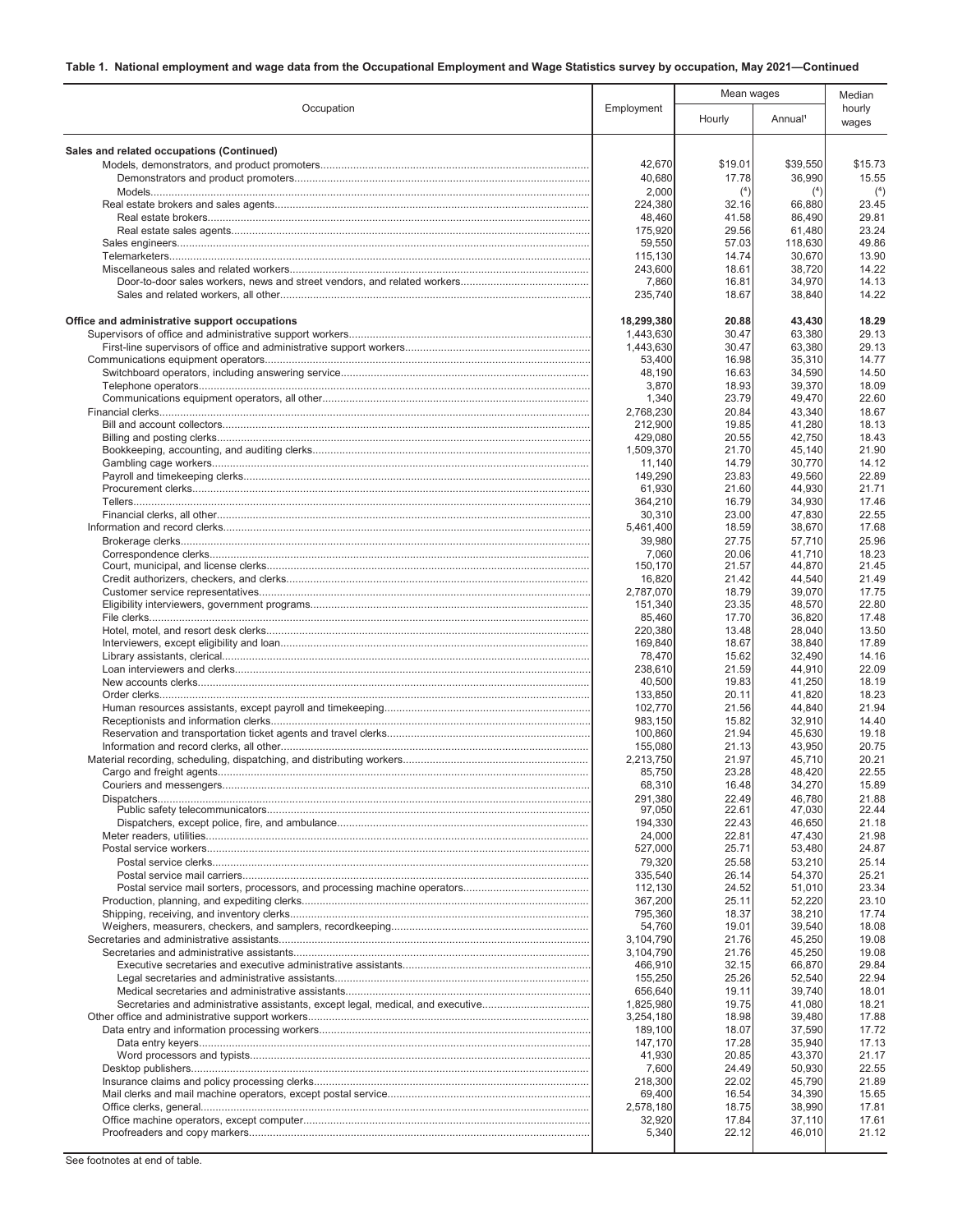|                                                                                 |                        | Mean wages     |                     | Median          |
|---------------------------------------------------------------------------------|------------------------|----------------|---------------------|-----------------|
| Occupation                                                                      | Employment             | Hourly         | Annual <sup>1</sup> | hourly<br>wages |
| Sales and related occupations (Continued)                                       |                        |                |                     |                 |
|                                                                                 | 42,670                 | \$19.01        | \$39,550            | \$15.73         |
|                                                                                 | 40,680                 | 17.78          | 36,990              | 15.55           |
|                                                                                 | 2,000                  | (4)            | (4)                 | $(4)$           |
|                                                                                 | 224,380                | 32.16          | 66,880              | 23.45           |
|                                                                                 | 48,460<br>175,920      | 41.58<br>29.56 | 86,490<br>61,480    | 29.81<br>23.24  |
|                                                                                 | 59,550                 | 57.03          | 118,630             | 49.86           |
|                                                                                 | 115,130                | 14.74          | 30.670              | 13.90           |
|                                                                                 | 243,600                | 18.61          | 38.720              | 14.22           |
|                                                                                 | 7,860<br>235,740       | 16.81<br>18.67 | 34,970<br>38,840    | 14.13<br>14.22  |
| Office and administrative support occupations                                   | 18,299,380             | 20.88          | 43,430              | 18.29           |
|                                                                                 | 1,443,630              | 30.47          | 63,380              | 29.13           |
|                                                                                 | 1,443,630              | 30.47          | 63,380              | 29.13           |
|                                                                                 | 53,400                 | 16.98          | 35,310              | 14.77           |
|                                                                                 | 48,190                 | 16.63          | 34,590              | 14.50           |
|                                                                                 | 3,870<br>1,340         | 18.93<br>23.79 | 39,370<br>49,470    | 18.09<br>22.60  |
|                                                                                 | 2.768.230              | 20.84          | 43,340              | 18.67           |
|                                                                                 | 212,900                | 19.85          | 41,280              | 18.13           |
|                                                                                 | 429,080                | 20.55          | 42,750              | 18.43           |
|                                                                                 | 1.509.370              | 21.70          | 45,140              | 21.90           |
|                                                                                 | 11,140                 | 14.79          | 30,770              | 14.12           |
|                                                                                 | 149,290<br>61,930      | 23.83<br>21.60 | 49,560<br>44,930    | 22.89<br>21.71  |
|                                                                                 | 364,210                | 16.79          | 34,930              | 17.46           |
|                                                                                 | 30,310                 | 23.00          | 47,830              | 22.55           |
|                                                                                 | 5,461,400              | 18.59          | 38.670              | 17.68           |
|                                                                                 | 39,980                 | 27.75          | 57,710              | 25.96           |
|                                                                                 | 7,060                  | 20.06          | 41,710              | 18.23           |
|                                                                                 | 150,170<br>16,820      | 21.57<br>21.42 | 44,870<br>44,540    | 21.45<br>21.49  |
|                                                                                 | 2,787,070              | 18.79          | 39,070              | 17.75           |
|                                                                                 | 151,340                | 23.35          | 48,570              | 22.80           |
|                                                                                 | 85,460                 | 17.70          | 36,820              | 17.48           |
|                                                                                 | 220,380                | 13.48          | 28,040              | 13.50           |
|                                                                                 | 169,840                | 18.67          | 38,840              | 17.89           |
|                                                                                 | 78,470<br>238,610      | 15.62<br>21.59 | 32,490<br>44,910    | 14.16<br>22.09  |
|                                                                                 | 40,500                 | 19.83          | 41,250              | 18.19           |
|                                                                                 | 133,850                | 20.11          | 41,820              | 18.23           |
|                                                                                 | 102,770                | 21.56          | 44,840              | 21.94           |
|                                                                                 | 983,150                | 15.82          | 32,910              | 14.40           |
|                                                                                 | 100,860                | 21.94          | 45,630<br>43,950    | 19.18<br>20.75  |
|                                                                                 | 155,080<br>2,213,750   | 21.13<br>21.97 | 45,710              | 20.21           |
|                                                                                 | 85,750                 | 23.28          | 48,420              | 22.55           |
|                                                                                 | 68,310                 | 16.48          | 34,270              | 15.89           |
|                                                                                 | 291,380                | 22.49          | 46,780              | 21.88           |
|                                                                                 | 97,050                 | 22.61          | 47,030              | 22.44           |
|                                                                                 | 194,330<br>24,000      | 22.43<br>22.81 | 46,650<br>47,430    | 21.18<br>21.98  |
|                                                                                 | 527,000                | 25.71          | 53,480              | 24.87           |
|                                                                                 | 79,320                 | 25.58          | 53,210              | 25.14           |
|                                                                                 | 335,540                | 26.14          | 54,370              | 25.21           |
|                                                                                 | 112,130                | 24.52          | 51,010              | 23.34           |
|                                                                                 | 367,200                | 25.11          | 52,220              | 23.10           |
|                                                                                 | 795,360<br>54,760      | 18.37<br>19.01 | 38,210<br>39,540    | 17.74<br>18.08  |
|                                                                                 | 3,104,790              | 21.76          | 45,250              | 19.08           |
|                                                                                 | 3,104,790              | 21.76          | 45,250              | 19.08           |
|                                                                                 | 466,910                | 32.15          | 66,870              | 29.84           |
|                                                                                 | 155,250                | 25.26          | 52,540              | 22.94           |
|                                                                                 | 656,640                | 19.11          | 39,740              | 18.01           |
| Secretaries and administrative assistants, except legal, medical, and executive | 1,825,980<br>3,254,180 | 19.75<br>18.98 | 41,080<br>39,480    | 18.21<br>17.88  |
|                                                                                 | 189,100                | 18.07          | 37,590              | 17.72           |
|                                                                                 | 147,170                | 17.28          | 35,940              | 17.13           |
|                                                                                 | 41,930                 | 20.85          | 43,370              | 21.17           |
|                                                                                 | 7,600                  | 24.49          | 50,930              | 22.55           |
|                                                                                 | 218,300                | 22.02          | 45,790              | 21.89           |
|                                                                                 | 69,400<br>2,578,180    | 16.54<br>18.75 | 34,390<br>38,990    | 15.65<br>17.81  |
|                                                                                 | 32,920                 | 17.84          | 37,110              | 17.61           |
|                                                                                 | 5,340                  | 22.12          | 46,010              | 21.12           |
|                                                                                 |                        |                |                     |                 |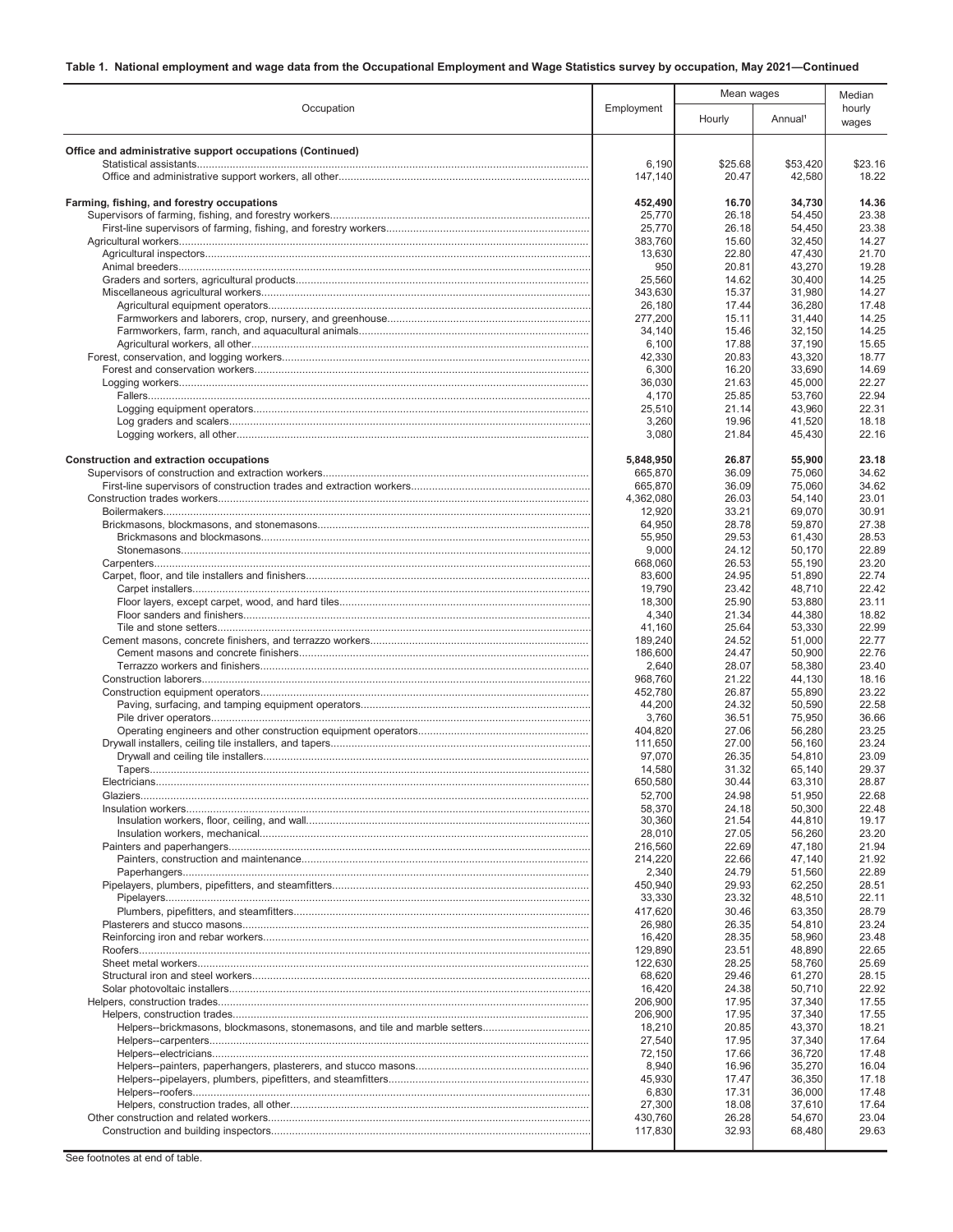|                                                           |                      | Mean wages       |                     |                  | Median |
|-----------------------------------------------------------|----------------------|------------------|---------------------|------------------|--------|
| Occupation                                                | Employment           | Hourly           | Annual <sup>1</sup> | hourly<br>wages  |        |
| Office and administrative support occupations (Continued) |                      |                  |                     |                  |        |
|                                                           | 6,190<br>147,140     | \$25.68<br>20.47 | \$53,420<br>42,580  | \$23.16<br>18.22 |        |
|                                                           |                      |                  |                     |                  |        |
| Farming, fishing, and forestry occupations                | 452,490              | 16.70            | 34,730              | 14.36            |        |
|                                                           | 25,770<br>25,770     | 26.18<br>26.18   | 54,450<br>54,450    | 23.38<br>23.38   |        |
|                                                           | 383,760              | 15.60            | 32,450              | 14.27            |        |
|                                                           | 13,630               | 22.80            | 47,430              | 21.70            |        |
|                                                           | 950                  | 20.81            | 43,270              | 19.28            |        |
|                                                           | 25,560               | 14.62            | 30,400              | 14.25            |        |
|                                                           | 343,630<br>26,180    | 15.37<br>17.44   | 31,980<br>36,280    | 14.27<br>17.48   |        |
|                                                           | 277,200              | 15.11            | 31,440              | 14.25            |        |
|                                                           | 34,140               | 15.46            | 32,150              | 14.25            |        |
|                                                           | 6,100                | 17.88            | 37,190              | 15.65            |        |
|                                                           | 42,330               | 20.83            | 43,320              | 18.77            |        |
|                                                           | 6,300                | 16.20<br>21.63   | 33,690              | 14.69<br>22.27   |        |
|                                                           | 36,030<br>4,170      | 25.85            | 45,000<br>53,760    | 22.94            |        |
|                                                           | 25,510               | 21.14            | 43,960              | 22.31            |        |
|                                                           | 3,260                | 19.96            | 41,520              | 18.18            |        |
|                                                           | 3,080                | 21.84            | 45,430              | 22.16            |        |
|                                                           |                      |                  |                     |                  |        |
| Construction and extraction occupations                   | 5,848,950<br>665,870 | 26.87<br>36.09   | 55,900<br>75,060    | 23.18<br>34.62   |        |
|                                                           | 665.870              | 36.09            | 75.060              | 34.62            |        |
|                                                           | 4,362,080            | 26.03            | 54,140              | 23.01            |        |
|                                                           | 12,920               | 33.21            | 69,070              | 30.91            |        |
|                                                           | 64,950               | 28.78            | 59,870              | 27.38            |        |
|                                                           | 55,950<br>9,000      | 29.53<br>24.12   | 61,430<br>50,170    | 28.53<br>22.89   |        |
|                                                           | 668,060              | 26.53            | 55,190              | 23.20            |        |
|                                                           | 83,600               | 24.95            | 51,890              | 22.74            |        |
|                                                           | 19,790               | 23.42            | 48,710              | 22.42            |        |
|                                                           | 18,300               | 25.90            | 53,880              | 23.11            |        |
|                                                           | 4,340                | 21.34<br>25.64   | 44,380              | 18.82<br>22.99   |        |
|                                                           | 41,160<br>189,240    | 24.52            | 53,330<br>51,000    | 22.77            |        |
|                                                           | 186,600              | 24.47            | 50,900              | 22.76            |        |
|                                                           | 2,640                | 28.07            | 58,380              | 23.40            |        |
|                                                           | 968,760              | 21.22            | 44,130              | 18.16            |        |
|                                                           | 452,780<br>44,200    | 26.87<br>24.32   | 55,890<br>50,590    | 23.22<br>22.58   |        |
|                                                           | 3,760                | 36.51            | 75,950              | 36.66            |        |
|                                                           | 404.820              | 27.06            | 56,280              | 23.25            |        |
|                                                           | 111,650              | 27.00            | 56,160              | 23.24            |        |
|                                                           | 97.070               | 26.35            | 54,810              | 23.09            |        |
|                                                           | 14,580<br>650,580    | 31.32<br>30.44   | 65,140<br>63,310    | 29.37<br>28.87   |        |
|                                                           | 52,700               | 24.98            | 51,950              | 22.68            |        |
|                                                           | 58,370               | 24.18            | 50,300              | 22.48            |        |
|                                                           | 30,360               | 21.54            | 44,810              | 19.17            |        |
|                                                           | 28,010               | 27.05            | 56,260              | 23.20            |        |
|                                                           | 216,560<br>214,220   | 22.69<br>22.66   | 47,180<br>47,140    | 21.94<br>21.92   |        |
|                                                           | 2,340                | 24.79            | 51,560              | 22.89            |        |
|                                                           | 450,940              | 29.93            | 62,250              | 28.51            |        |
|                                                           | 33,330               | 23.32            | 48,510              | 22.11            |        |
|                                                           | 417,620              | 30.46            | 63,350              | 28.79            |        |
|                                                           | 26,980<br>16,420     | 26.35<br>28.35   | 54,810<br>58,960    | 23.24<br>23.48   |        |
|                                                           | 129,890              | 23.51            | 48,890              | 22.65            |        |
|                                                           | 122,630              | 28.25            | 58,760              | 25.69            |        |
|                                                           | 68,620               | 29.46            | 61,270              | 28.15            |        |
|                                                           | 16,420               | 24.38            | 50,710              | 22.92            |        |
|                                                           | 206,900<br>206,900   | 17.95<br>17.95   | 37,340<br>37,340    | 17.55<br>17.55   |        |
|                                                           | 18,210               | 20.85            | 43,370              | 18.21            |        |
|                                                           | 27,540               | 17.95            | 37,340              | 17.64            |        |
|                                                           | 72,150               | 17.66            | 36,720              | 17.48            |        |
|                                                           | 8,940                | 16.96            | 35,270              | 16.04            |        |
|                                                           | 45,930<br>6,830      | 17.47<br>17.31   | 36,350<br>36,000    | 17.18<br>17.48   |        |
|                                                           | 27,300               | 18.08            | 37,610              | 17.64            |        |
|                                                           | 430,760              | 26.28            | 54,670              | 23.04            |        |
|                                                           | 117,830              | 32.93            | 68,480              | 29.63            |        |
|                                                           |                      |                  |                     |                  |        |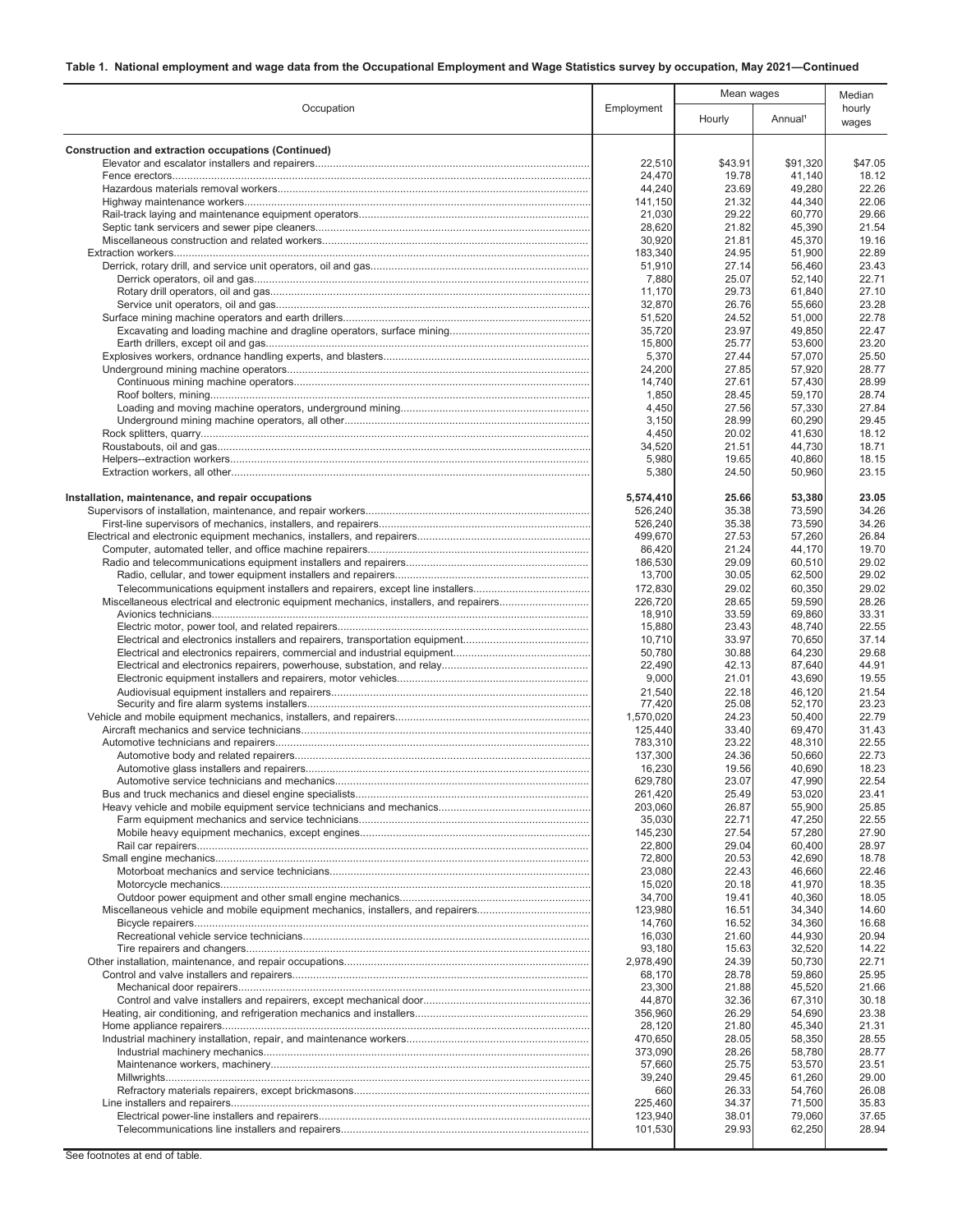|                                                                                        |                     | Mean wages     |                     | Median          |
|----------------------------------------------------------------------------------------|---------------------|----------------|---------------------|-----------------|
| Occupation                                                                             | Employment          | Hourly         | Annual <sup>1</sup> | hourly<br>wages |
| Construction and extraction occupations (Continued)                                    |                     |                |                     |                 |
|                                                                                        | 22.510              | \$43.91        | \$91,320            | \$47.05         |
|                                                                                        | 24,470              | 19.78          | 41,140              | 18.12           |
|                                                                                        | 44.240              | 23.69          | 49,280              | 22.26           |
|                                                                                        | 141,150             | 21.32          | 44,340              | 22.06           |
|                                                                                        | 21,030<br>28,620    | 29.22<br>21.82 | 60,770<br>45,390    | 29.66<br>21.54  |
|                                                                                        | 30,920              | 21.81          | 45,370              | 19.16           |
|                                                                                        | 183,340             | 24.95          | 51,900              | 22.89           |
|                                                                                        | 51,910              | 27.14          | 56,460              | 23.43           |
|                                                                                        | 7,880               | 25.07          | 52,140              | 22.71           |
|                                                                                        | 11,170              | 29.73          | 61,840              | 27.10           |
|                                                                                        | 32,870              | 26.76          | 55,660              | 23.28           |
|                                                                                        | 51,520              | 24.52          | 51,000              | 22.78           |
|                                                                                        | 35,720<br>15,800    | 23.97<br>25.77 | 49,850<br>53,600    | 22.47<br>23.20  |
|                                                                                        | 5,370               | 27.44          | 57,070              | 25.50           |
|                                                                                        | 24,200              | 27.85          | 57,920              | 28.77           |
|                                                                                        | 14,740              | 27.61          | 57,430              | 28.99           |
|                                                                                        | 1,850               | 28.45          | 59,170              | 28.74           |
|                                                                                        | 4,450               | 27.56          | 57,330              | 27.84           |
|                                                                                        | 3,150               | 28.99          | 60,290              | 29.45           |
|                                                                                        | 4,450               | 20.02          | 41,630              | 18.12           |
|                                                                                        | 34,520              | 21.51          | 44,730              | 18.71           |
|                                                                                        | 5,980               | 19.65          | 40,860              | 18.15           |
|                                                                                        | 5,380               | 24.50          | 50,960              | 23.15           |
| Installation, maintenance, and repair occupations                                      | 5,574,410           | 25.66          | 53,380              | 23.05           |
|                                                                                        | 526,240             | 35.38          | 73,590              | 34.26           |
|                                                                                        | 526,240             | 35.38          | 73,590              | 34.26           |
|                                                                                        | 499,670             | 27.53          | 57,260              | 26.84           |
|                                                                                        | 86,420              | 21.24          | 44,170              | 19.70           |
|                                                                                        | 186,530             | 29.09          | 60,510              | 29.02           |
|                                                                                        | 13,700              | 30.05          | 62,500              | 29.02           |
| Telecommunications equipment installers and repairers, except line installers          | 172,830             | 29.02          | 60,350              | 29.02           |
| Miscellaneous electrical and electronic equipment mechanics, installers, and repairers | 226,720             | 28.65          | 59,590              | 28.26<br>33.31  |
|                                                                                        | 18,910<br>15,880    | 33.59<br>23.43 | 69,860<br>48,740    | 22.55           |
|                                                                                        | 10,710              | 33.97          | 70,650              | 37.14           |
|                                                                                        | 50,780              | 30.88          | 64,230              | 29.68           |
|                                                                                        | 22,490              | 42.13          | 87,640              | 44.91           |
|                                                                                        | 9,000               | 21.01          | 43,690              | 19.55           |
|                                                                                        | 21,540              | 22.18          | 46,120              | 21.54           |
|                                                                                        | 77,420              | 25.08          | 52,170              | 23.23           |
|                                                                                        | 1,570,020           | 24.23          | 50,400<br>69,470    | 22.79<br>31.43  |
|                                                                                        | 125,440<br>783,310  | 33.40<br>23.22 | 48,310              | 22.55           |
|                                                                                        | 137,300             | 24.36          | 50,660              | 22.73           |
|                                                                                        | 16,230              | 19.56          | 40,690              | 18.23           |
|                                                                                        | 629,780             | 23.07          | 47,990              | 22.54           |
|                                                                                        | 261,420             | 25.49          | 53,020              | 23.41           |
|                                                                                        | 203.060             | 26.87          | 55,900              | 25.85           |
|                                                                                        | 35,030              | 22.71          | 47,250              | 22.55           |
|                                                                                        | 145,230<br>22,800   | 27.54<br>29.04 | 57,280<br>60,400    | 27.90<br>28.97  |
|                                                                                        | 72,800              | 20.53          | 42,690              | 18.78           |
|                                                                                        | 23,080              | 22.43          | 46,660              | 22.46           |
|                                                                                        | 15,020              | 20.18          | 41,970              | 18.35           |
|                                                                                        | 34,700              | 19.41          | 40,360              | 18.05           |
|                                                                                        | 123,980             | 16.51          | 34,340              | 14.60           |
|                                                                                        | 14,760              | 16.52          | 34,360              | 16.68           |
|                                                                                        | 16,030              | 21.60          | 44,930              | 20.94           |
|                                                                                        | 93,180<br>2,978,490 | 15.63<br>24.39 | 32,520<br>50,730    | 14.22<br>22.71  |
|                                                                                        | 68,170              | 28.78          | 59,860              | 25.95           |
|                                                                                        | 23,300              | 21.88          | 45,520              | 21.66           |
|                                                                                        | 44,870              | 32.36          | 67,310              | 30.18           |
|                                                                                        | 356,960             | 26.29          | 54,690              | 23.38           |
|                                                                                        | 28,120              | 21.80          | 45,340              | 21.31           |
|                                                                                        | 470,650             | 28.05          | 58,350              | 28.55           |
|                                                                                        | 373,090             | 28.26          | 58,780              | 28.77           |
|                                                                                        | 57,660              | 25.75          | 53,570              | 23.51           |
|                                                                                        | 39,240<br>660       | 29.45<br>26.33 | 61,260<br>54,760    | 29.00<br>26.08  |
|                                                                                        | 225,460             | 34.37          | 71,500              | 35.83           |
|                                                                                        | 123,940             | 38.01          | 79,060              | 37.65           |
|                                                                                        | 101,530             | 29.93          | 62,250              | 28.94           |
|                                                                                        |                     |                |                     |                 |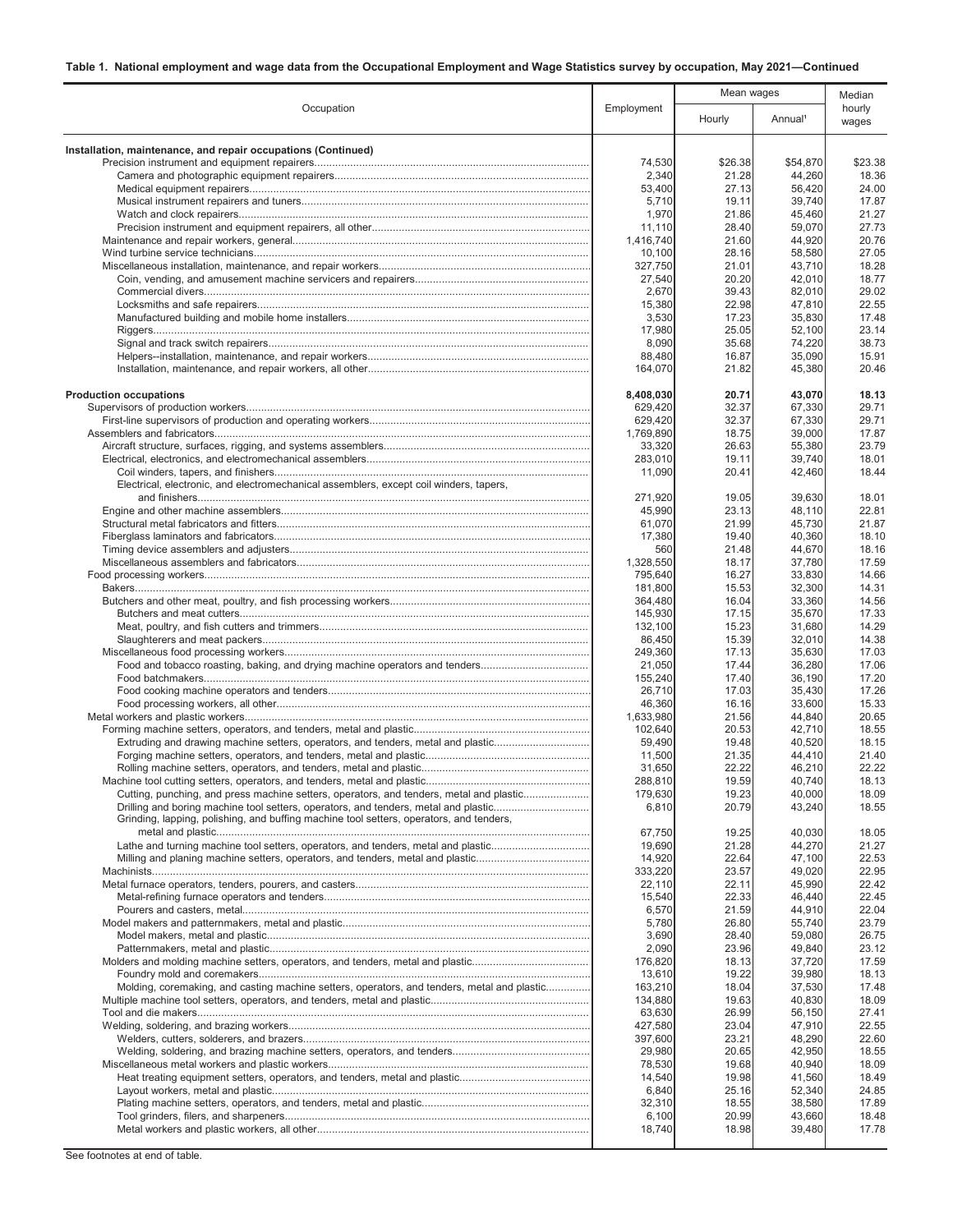|                                                                                                                                                                                |                     |                | Mean wages          |                 |
|--------------------------------------------------------------------------------------------------------------------------------------------------------------------------------|---------------------|----------------|---------------------|-----------------|
| Occupation                                                                                                                                                                     | Employment          | Hourly         | Annual <sup>1</sup> | hourly<br>wages |
| Installation, maintenance, and repair occupations (Continued)                                                                                                                  |                     |                |                     |                 |
|                                                                                                                                                                                | 74,530              | \$26.38        | \$54,870            | \$23.38         |
|                                                                                                                                                                                | 2,340               | 21.28          | 44,260              | 18.36           |
|                                                                                                                                                                                | 53,400              | 27.13          | 56,420              | 24.00           |
|                                                                                                                                                                                | 5,710<br>1,970      | 19.11<br>21.86 | 39,740              | 17.87           |
|                                                                                                                                                                                | 11,110              | 28.40          | 45,460<br>59,070    | 21.27<br>27.73  |
|                                                                                                                                                                                | 1,416,740           | 21.60          | 44,920              | 20.76           |
|                                                                                                                                                                                | 10,100              | 28.16          | 58,580              | 27.05           |
|                                                                                                                                                                                | 327,750             | 21.01          | 43,710              | 18.28           |
|                                                                                                                                                                                | 27.540              | 20.20          | 42,010              | 18.77           |
|                                                                                                                                                                                | 2,670               | 39.43          | 82,010              | 29.02           |
|                                                                                                                                                                                | 15,380              | 22.98          | 47,810              | 22.55<br>17.48  |
|                                                                                                                                                                                | 3,530<br>17,980     | 17.23<br>25.05 | 35,830<br>52,100    | 23.14           |
|                                                                                                                                                                                | 8,090               | 35.68          | 74,220              | 38.73           |
|                                                                                                                                                                                | 88,480              | 16.87          | 35,090              | 15.91           |
|                                                                                                                                                                                | 164,070             | 21.82          | 45,380              | 20.46           |
| <b>Production occupations</b>                                                                                                                                                  | 8,408,030           | 20.71          | 43,070              | 18.13           |
|                                                                                                                                                                                | 629,420             | 32.37          | 67,330              | 29.71           |
|                                                                                                                                                                                | 629,420             | 32.37          | 67,330              | 29.71           |
|                                                                                                                                                                                | 1,769,890<br>33,320 | 18.75<br>26.63 | 39,000<br>55,380    | 17.87<br>23.79  |
|                                                                                                                                                                                | 283,010             | 19.11          | 39,740              | 18.01           |
|                                                                                                                                                                                | 11,090              | 20.41          | 42,460              | 18.44           |
| Electrical, electronic, and electromechanical assemblers, except coil winders, tapers,                                                                                         |                     |                |                     |                 |
|                                                                                                                                                                                | 271.920             | 19.05          | 39,630              | 18.01           |
|                                                                                                                                                                                | 45,990<br>61,070    | 23.13<br>21.99 | 48,110<br>45,730    | 22.81<br>21.87  |
|                                                                                                                                                                                | 17,380              | 19.40          | 40,360              | 18.10           |
|                                                                                                                                                                                | 560                 | 21.48          | 44,670              | 18.16           |
|                                                                                                                                                                                | 1,328,550           | 18.17          | 37,780              | 17.59           |
|                                                                                                                                                                                | 795,640             | 16.27          | 33,830              | 14.66           |
|                                                                                                                                                                                | 181,800             | 15.53          | 32,300              | 14.31           |
|                                                                                                                                                                                | 364,480             | 16.04          | 33,360              | 14.56           |
|                                                                                                                                                                                | 145,930<br>132,100  | 17.15<br>15.23 | 35,670<br>31,680    | 17.33<br>14.29  |
|                                                                                                                                                                                | 86,450              | 15.39          | 32,010              | 14.38           |
|                                                                                                                                                                                | 249,360             | 17.13          | 35,630              | 17.03           |
| Food and tobacco roasting, baking, and drying machine operators and tenders                                                                                                    | 21,050              | 17.44          | 36,280              | 17.06           |
|                                                                                                                                                                                | 155,240             | 17.40          | 36,190              | 17.20           |
|                                                                                                                                                                                | 26,710              | 17.03          | 35,430              | 17.26           |
|                                                                                                                                                                                | 46,360<br>1.633.980 | 16.16          | 33,600              | 15.33           |
|                                                                                                                                                                                | 102,640             | 21.56<br>20.53 | 44,840<br>42,710    | 20.65<br>18.55  |
| Extruding and drawing machine setters, operators, and tenders, metal and plastic                                                                                               | 59.490              | 19.48          | 40,520              | 18.15           |
|                                                                                                                                                                                | 11,500              | 21.35          | 44,410              | 21.40           |
|                                                                                                                                                                                | 31,650              | 22.22          | 46,210              | 22.22           |
|                                                                                                                                                                                | 288,810             | 19.59          | 40,740              | 18.13           |
| Cutting, punching, and press machine setters, operators, and tenders, metal and plastic                                                                                        | 179,630             | 19.23          | 40,000              | 18.09           |
| Drilling and boring machine tool setters, operators, and tenders, metal and plastic<br>Grinding, lapping, polishing, and buffing machine tool setters, operators, and tenders, | 6,810               | 20.79          | 43,240              | 18.55           |
|                                                                                                                                                                                | 67,750              | 19.25          | 40,030              | 18.05           |
| Lathe and turning machine tool setters, operators, and tenders, metal and plastic                                                                                              | 19,690              | 21.28          | 44,270              | 21.27           |
|                                                                                                                                                                                | 14,920              | 22.64          | 47,100              | 22.53           |
|                                                                                                                                                                                | 333,220<br>22,110   | 23.57<br>22.11 | 49,020<br>45,990    | 22.95<br>22.42  |
|                                                                                                                                                                                | 15,540              | 22.33          | 46,440              | 22.45           |
|                                                                                                                                                                                | 6,570               | 21.59          | 44,910              | 22.04           |
|                                                                                                                                                                                | 5,780               | 26.80          | 55,740              | 23.79           |
|                                                                                                                                                                                | 3,690               | 28.40          | 59,080              | 26.75           |
|                                                                                                                                                                                | 2,090               | 23.96          | 49,840              | 23.12           |
| Molders and molding machine setters, operators, and tenders, metal and plastic                                                                                                 | 176,820             | 18.13          | 37,720              | 17.59           |
| Molding, coremaking, and casting machine setters, operators, and tenders, metal and plastic                                                                                    | 13,610<br>163,210   | 19.22<br>18.04 | 39,980<br>37,530    | 18.13<br>17.48  |
|                                                                                                                                                                                | 134,880             | 19.63          | 40,830              | 18.09           |
|                                                                                                                                                                                | 63,630              | 26.99          | 56,150              | 27.41           |
|                                                                                                                                                                                | 427,580             | 23.04          | 47,910              | 22.55           |
|                                                                                                                                                                                | 397,600             | 23.21          | 48,290              | 22.60           |
|                                                                                                                                                                                | 29,980              | 20.65          | 42,950              | 18.55           |
|                                                                                                                                                                                | 78,530              | 19.68          | 40,940              | 18.09           |
|                                                                                                                                                                                | 14,540              | 19.98          | 41,560              | 18.49           |
|                                                                                                                                                                                | 6,840<br>32,310     | 25.16<br>18.55 | 52,340<br>38,580    | 24.85<br>17.89  |
|                                                                                                                                                                                | 6,100               | 20.99          | 43,660              | 18.48           |
|                                                                                                                                                                                | 18,740              | 18.98          | 39,480              | 17.78           |
|                                                                                                                                                                                |                     |                |                     |                 |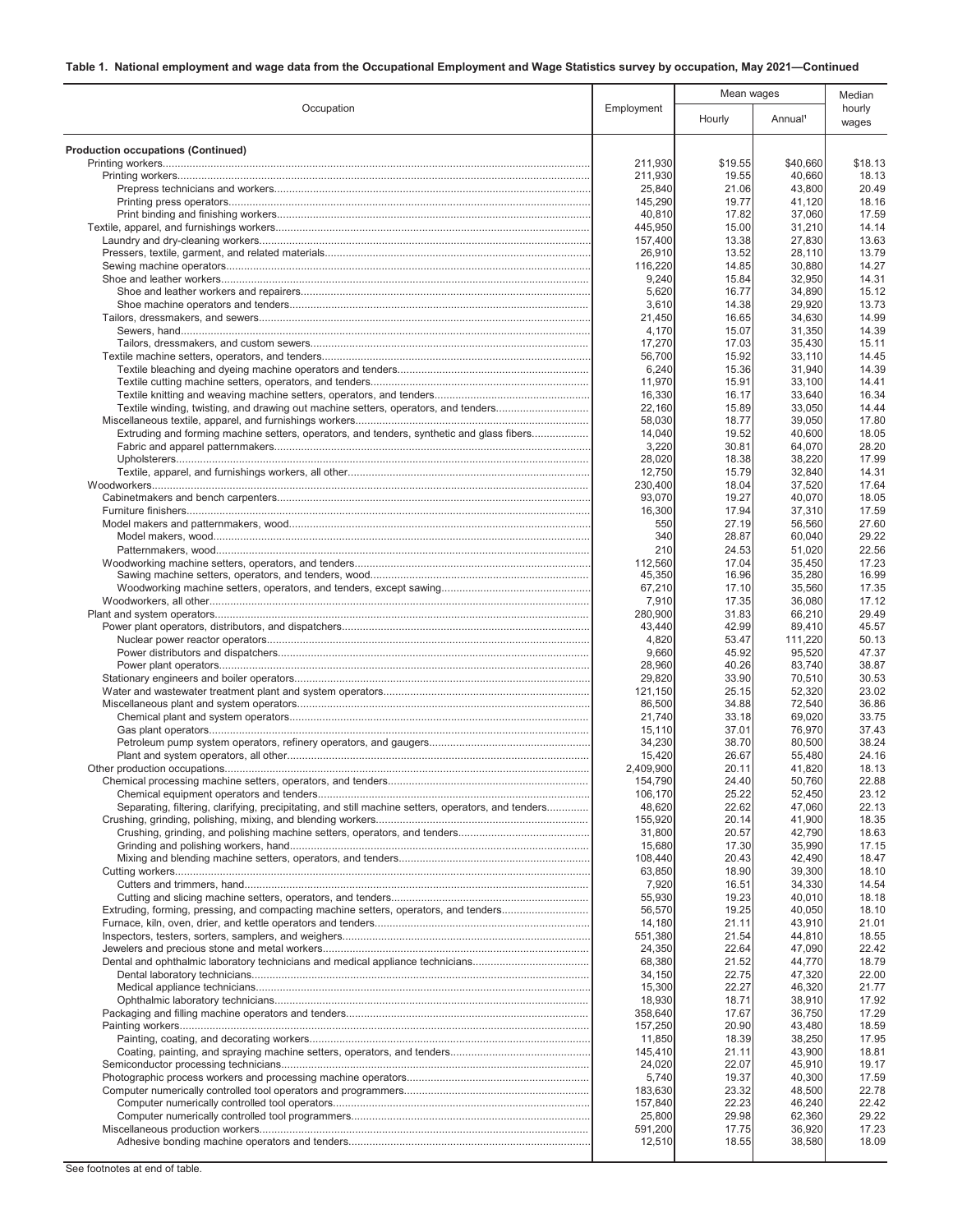| Occupation                                                                                          | Employment         | Mean wages     |                     | Median          |
|-----------------------------------------------------------------------------------------------------|--------------------|----------------|---------------------|-----------------|
|                                                                                                     |                    | Hourly         | Annual <sup>1</sup> | hourly<br>wages |
| <b>Production occupations (Continued)</b>                                                           |                    |                |                     |                 |
|                                                                                                     | 211,930            | \$19.55        | \$40,660            | \$18.13         |
|                                                                                                     | 211,930            | 19.55          | 40,660              | 18.13           |
|                                                                                                     | 25,840             | 21.06          | 43,800              | 20.49           |
|                                                                                                     | 145,290            | 19.77          | 41,120              | 18.16           |
|                                                                                                     | 40,810             | 17.82          | 37,060              | 17.59<br>14.14  |
|                                                                                                     | 445,950<br>157.400 | 15.00<br>13.38 | 31,210<br>27,830    | 13.63           |
|                                                                                                     | 26,910             | 13.52          | 28,110              | 13.79           |
|                                                                                                     | 116,220            | 14.85          | 30,880              | 14.27           |
|                                                                                                     | 9,240              | 15.84          | 32,950              | 14.31           |
|                                                                                                     | 5,620              | 16.77          | 34,890              | 15.12           |
|                                                                                                     | 3,610              | 14.38          | 29,920              | 13.73           |
|                                                                                                     | 21,450             | 16.65          | 34,630              | 14.99           |
|                                                                                                     | 4,170              | 15.07          | 31,350              | 14.39           |
|                                                                                                     | 17,270             | 17.03          | 35,430              | 15.11           |
|                                                                                                     | 56,700<br>6,240    | 15.92<br>15.36 | 33,110<br>31,940    | 14.45<br>14.39  |
|                                                                                                     | 11,970             | 15.91          | 33,100              | 14.41           |
|                                                                                                     | 16,330             | 16.17          | 33.640              | 16.34           |
| Textile winding, twisting, and drawing out machine setters, operators, and tenders                  | 22,160             | 15.89          | 33,050              | 14.44           |
|                                                                                                     | 58,030             | 18.77          | 39,050              | 17.80           |
| Extruding and forming machine setters, operators, and tenders, synthetic and glass fibers           | 14,040             | 19.52          | 40,600              | 18.05           |
|                                                                                                     | 3,220              | 30.81          | 64,070              | 28.20           |
|                                                                                                     | 28,020             | 18.38          | 38,220              | 17.99           |
|                                                                                                     | 12,750             | 15.79          | 32,840              | 14.31           |
|                                                                                                     | 230,400<br>93,070  | 18.04<br>19.27 | 37,520<br>40,070    | 17.64<br>18.05  |
|                                                                                                     | 16,300             | 17.94          | 37,310              | 17.59           |
|                                                                                                     | 550                | 27.19          | 56,560              | 27.60           |
|                                                                                                     | 340                | 28.87          | 60,040              | 29.22           |
|                                                                                                     | 210                | 24.53          | 51,020              | 22.56           |
|                                                                                                     | 112,560            | 17.04          | 35,450              | 17.23           |
|                                                                                                     | 45,350             | 16.96          | 35,280              | 16.99           |
|                                                                                                     | 67,210             | 17.10          | 35,560              | 17.35           |
|                                                                                                     | 7,910              | 17.35          | 36,080              | 17.12           |
|                                                                                                     | 280,900            | 31.83<br>42.99 | 66,210              | 29.49<br>45.57  |
|                                                                                                     | 43,440<br>4,820    | 53.47          | 89,410<br>111,220   | 50.13           |
|                                                                                                     | 9,660              | 45.92          | 95,520              | 47.37           |
|                                                                                                     | 28,960             | 40.26          | 83,740              | 38.87           |
|                                                                                                     | 29,820             | 33.90          | 70,510              | 30.53           |
|                                                                                                     | 121,150            | 25.15          | 52,320              | 23.02           |
|                                                                                                     | 86,500             | 34.88          | 72,540              | 36.86           |
|                                                                                                     | 21,740             | 33.18          | 69,020              | 33.75           |
|                                                                                                     | 15,110             | 37.01<br>38.70 | 76,970<br>80,500    | 37.43<br>38.24  |
|                                                                                                     | 34,230<br>15,420   | 26.67          | 55,480              | 24.16           |
|                                                                                                     | 2,409,900          | 20.11          | 41,820              | 18.13           |
|                                                                                                     | 154,790            | 24.40          | 50,760              | 22.88           |
|                                                                                                     | 106.170            | 25.22          | 52,450              | 23.12           |
| Separating, filtering, clarifying, precipitating, and still machine setters, operators, and tenders | 48,620             | 22.62          | 47,060              | 22.13           |
|                                                                                                     | 155,920            | 20.14          | 41,900              | 18.35           |
|                                                                                                     | 31,800             | 20.57          | 42,790              | 18.63           |
|                                                                                                     | 15,680<br>108,440  | 17.30<br>20.43 | 35,990<br>42,490    | 17.15<br>18.47  |
|                                                                                                     | 63,850             | 18.90          | 39,300              | 18.10           |
|                                                                                                     | 7,920              | 16.51          | 34,330              | 14.54           |
|                                                                                                     | 55,930             | 19.23          | 40,010              | 18.18           |
| Extruding, forming, pressing, and compacting machine setters, operators, and tenders                | 56,570             | 19.25          | 40,050              | 18.10           |
|                                                                                                     | 14,180             | 21.11          | 43,910              | 21.01           |
|                                                                                                     | 551,380            | 21.54          | 44,810              | 18.55           |
|                                                                                                     | 24,350             | 22.64          | 47,090              | 22.42           |
|                                                                                                     | 68,380<br>34,150   | 21.52<br>22.75 | 44,770<br>47,320    | 18.79<br>22.00  |
|                                                                                                     | 15,300             | 22.27          | 46,320              | 21.77           |
|                                                                                                     | 18,930             | 18.71          | 38,910              | 17.92           |
|                                                                                                     | 358,640            | 17.67          | 36,750              | 17.29           |
|                                                                                                     | 157,250            | 20.90          | 43,480              | 18.59           |
|                                                                                                     | 11,850             | 18.39          | 38,250              | 17.95           |
|                                                                                                     | 145,410            | 21.11          | 43,900              | 18.81           |
|                                                                                                     | 24,020             | 22.07          | 45,910              | 19.17           |
|                                                                                                     | 5,740              | 19.37          | 40,300              | 17.59           |
|                                                                                                     | 183,630<br>157,840 | 23.32<br>22.23 | 48,500<br>46,240    | 22.78<br>22.42  |
|                                                                                                     | 25,800             | 29.98          | 62,360              | 29.22           |
|                                                                                                     | 591,200            | 17.75          | 36,920              | 17.23           |
|                                                                                                     | 12,510             | 18.55          | 38,580              | 18.09           |
|                                                                                                     |                    |                |                     |                 |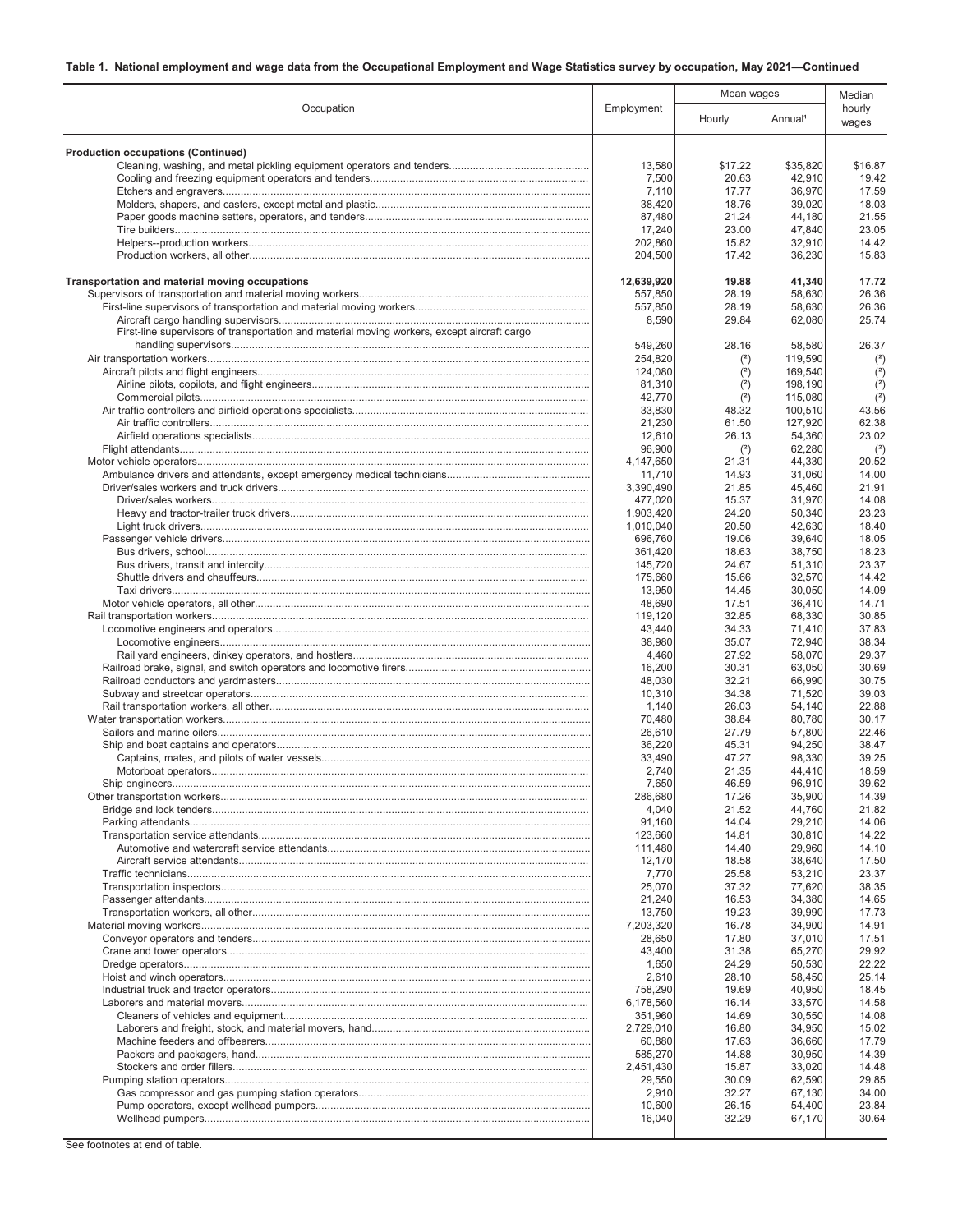| Occupation                                                                                  |                     | Mean wages     |                     | Median          |
|---------------------------------------------------------------------------------------------|---------------------|----------------|---------------------|-----------------|
|                                                                                             | Employment          | Hourly         | Annual <sup>1</sup> | hourly<br>wages |
|                                                                                             |                     |                |                     |                 |
| <b>Production occupations (Continued)</b>                                                   | 13,580              | \$17.22        | \$35,820            | \$16.87         |
|                                                                                             | 7,500               | 20.63          | 42,910              | 19.42           |
|                                                                                             | 7,110               | 17.77          | 36,970              | 17.59           |
|                                                                                             | 38,420              | 18.76          | 39,020              | 18.03           |
|                                                                                             | 87,480              | 21.24          | 44,180              | 21.55           |
|                                                                                             | 17,240<br>202,860   | 23.00<br>15.82 | 47,840<br>32,910    | 23.05<br>14.42  |
|                                                                                             | 204,500             | 17.42          | 36,230              | 15.83           |
| Transportation and material moving occupations                                              | 12,639,920          | 19.88          | 41,340              | 17.72           |
|                                                                                             | 557,850             | 28.19<br>28.19 | 58,630<br>58,630    | 26.36<br>26.36  |
|                                                                                             | 557,850<br>8,590    | 29.84          | 62,080              | 25.74           |
| First-line supervisors of transportation and material moving workers, except aircraft cargo | 549,260             | 28.16          | 58,580              | 26.37           |
|                                                                                             | 254,820             | (2)            | 119,590             | $(2)$           |
|                                                                                             | 124,080             | (2)            | 169,540             | $(2)$           |
|                                                                                             | 81,310              | (2)            | 198,190             | (2)             |
|                                                                                             | 42,770              | (2)            | 115,080             | $(2)$           |
|                                                                                             | 33,830              | 48.32          | 100,510             | 43.56           |
|                                                                                             | 21,230              | 61.50          | 127,920             | 62.38           |
|                                                                                             | 12,610              | 26.13          | 54,360              | 23.02           |
|                                                                                             | 96,900<br>4,147,650 | (2)<br>21.31   | 62,280<br>44,330    | (2)<br>20.52    |
|                                                                                             | 11,710              | 14.93          | 31,060              | 14.00           |
|                                                                                             | 3.390.490           | 21.85          | 45,460              | 21.91           |
|                                                                                             | 477,020             | 15.37          | 31,970              | 14.08           |
|                                                                                             | 1,903,420           | 24.20          | 50,340              | 23.23           |
|                                                                                             | 1,010,040           | 20.50          | 42,630              | 18.40           |
|                                                                                             | 696,760             | 19.06          | 39,640              | 18.05           |
|                                                                                             | 361,420             | 18.63          | 38,750              | 18.23           |
|                                                                                             | 145,720<br>175,660  | 24.67<br>15.66 | 51,310<br>32,570    | 23.37<br>14.42  |
|                                                                                             | 13,950              | 14.45          | 30,050              | 14.09           |
|                                                                                             | 48,690              | 17.51          | 36,410              | 14.71           |
|                                                                                             | 119,120             | 32.85          | 68,330              | 30.85           |
|                                                                                             | 43,440              | 34.33          | 71,410              | 37.83           |
|                                                                                             | 38,980              | 35.07          | 72,940              | 38.34           |
|                                                                                             | 4,460               | 27.92          | 58,070              | 29.37           |
|                                                                                             | 16,200<br>48,030    | 30.31<br>32.21 | 63,050<br>66,990    | 30.69<br>30.75  |
|                                                                                             | 10,310              | 34.38          | 71,520              | 39.03           |
|                                                                                             | 1,140               | 26.03          | 54,140              | 22.88           |
|                                                                                             | 70,480              | 38.84          | 80,780              | 30.17           |
|                                                                                             | 26,610              | 27.79          | 57,800              | 22.46           |
|                                                                                             | 36,220              | 45.31          | 94,250              | 38.47           |
|                                                                                             | 33,490              | 47.27          | 98,330              | 39.25           |
|                                                                                             | 2,740               | 21.35          | 44,410              | 18.59           |
|                                                                                             | 7,650<br>286,680    | 46.59<br>17.26 | 96,910<br>35,900    | 39.62<br>14.39  |
|                                                                                             | 4,040               | 21.52          | 44.760              | 21.82           |
|                                                                                             | 91,160              | 14.04          | 29,210              | 14.06           |
|                                                                                             | 123.660             | 14.81          | 30,810              | 14.22           |
|                                                                                             | 111,480             | 14.40          | 29,960              | 14.10           |
|                                                                                             | 12,170              | 18.58          | 38,640              | 17.50           |
|                                                                                             | 7,770               | 25.58          | 53,210              | 23.37           |
|                                                                                             | 25,070              | 37.32          | 77,620              | 38.35           |
|                                                                                             | 21,240<br>13,750    | 16.53<br>19.23 | 34,380<br>39,990    | 14.65<br>17.73  |
|                                                                                             | 7,203,320           | 16.78          | 34,900              | 14.91           |
|                                                                                             | 28,650              | 17.80          | 37,010              | 17.51           |
|                                                                                             | 43,400              | 31.38          | 65,270              | 29.92           |
|                                                                                             | 1,650               | 24.29          | 50,530              | 22.22           |
|                                                                                             | 2,610               | 28.10          | 58,450              | 25.14           |
|                                                                                             | 758,290             | 19.69          | 40,950              | 18.45           |
|                                                                                             | 6,178,560           | 16.14          | 33,570              | 14.58           |
|                                                                                             | 351,960             | 14.69          | 30,550              | 14.08           |
|                                                                                             | 2,729,010<br>60,880 | 16.80<br>17.63 | 34,950<br>36,660    | 15.02<br>17.79  |
|                                                                                             | 585,270             | 14.88          | 30,950              | 14.39           |
|                                                                                             | 2,451,430           | 15.87          | 33,020              | 14.48           |
|                                                                                             | 29,550              | 30.09          | 62,590              | 29.85           |
|                                                                                             | 2,910               | 32.27          | 67,130              | 34.00           |
|                                                                                             | 10,600              | 26.15          | 54,400              | 23.84           |
|                                                                                             | 16,040              | 32.29          | 67,170              | 30.64           |
|                                                                                             |                     |                |                     |                 |